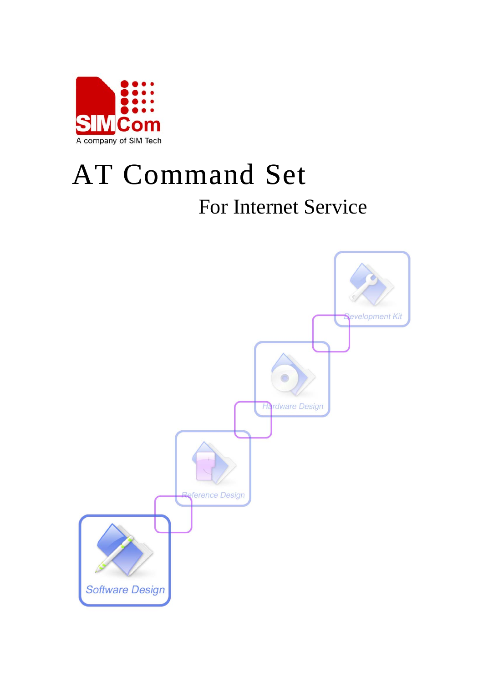

# AT Command Set For Internet Service

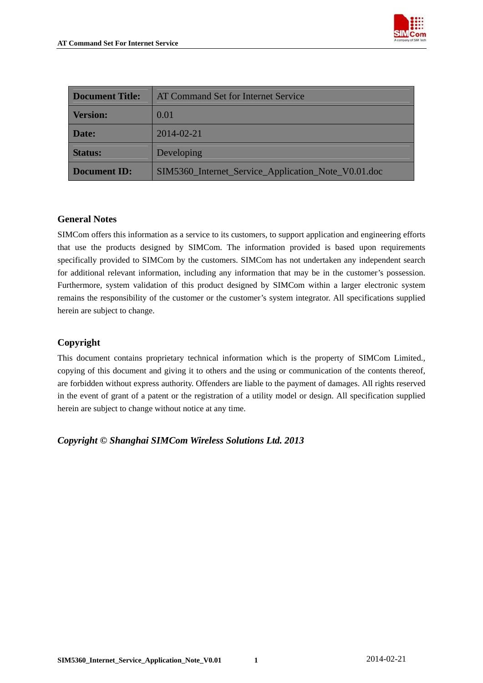

| <b>Document Title:</b> | AT Command Set for Internet Service                 |  |
|------------------------|-----------------------------------------------------|--|
| <b>Version:</b>        | 0.01                                                |  |
| Date:                  | 2014-02-21                                          |  |
| <b>Status:</b>         | Developing                                          |  |
| <b>Document ID:</b>    | SIM5360_Internet_Service_Application_Note_V0.01.doc |  |

#### **General Notes**

SIMCom offers this information as a service to its customers, to support application and engineering efforts that use the products designed by SIMCom. The information provided is based upon requirements specifically provided to SIMCom by the customers. SIMCom has not undertaken any independent search for additional relevant information, including any information that may be in the customer's possession. Furthermore, system validation of this product designed by SIMCom within a larger electronic system remains the responsibility of the customer or the customer's system integrator. All specifications supplied herein are subject to change.

## **Copyright**

This document contains proprietary technical information which is the property of SIMCom Limited., copying of this document and giving it to others and the using or communication of the contents thereof, are forbidden without express authority. Offenders are liable to the payment of damages. All rights reserved in the event of grant of a patent or the registration of a utility model or design. All specification supplied herein are subject to change without notice at any time.

*Copyright © Shanghai SIMCom Wireless Solutions Ltd. 2013*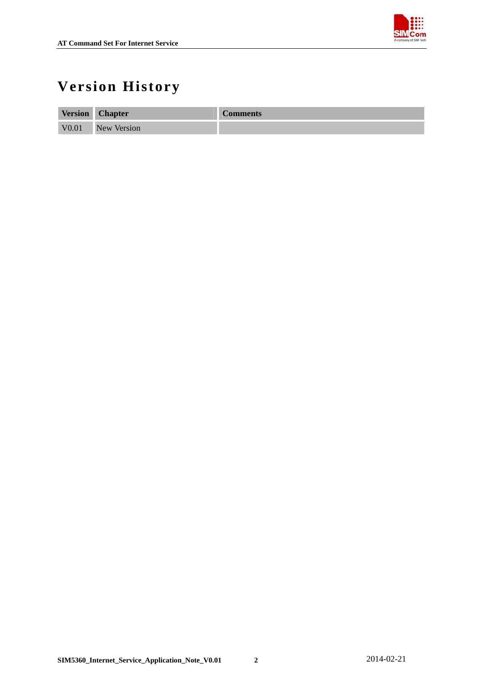

## <span id="page-2-0"></span>**Version History**

| <b>Version</b>    | <b>Chapter</b>     | <b>Comments</b> |
|-------------------|--------------------|-----------------|
| V <sub>0.01</sub> | <b>New Version</b> |                 |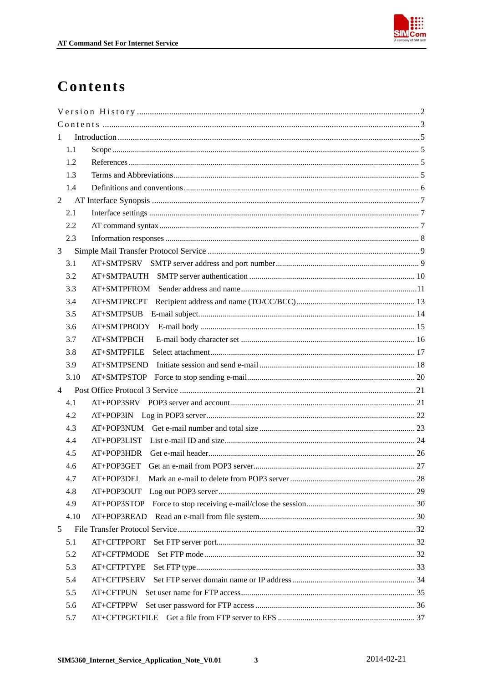

## <span id="page-3-0"></span>Contents

| 1              |                |  |
|----------------|----------------|--|
| 1.1            |                |  |
| 1.2            |                |  |
| 1.3            |                |  |
| 1.4            |                |  |
| $\overline{2}$ |                |  |
| 2.1            |                |  |
| 2.2            |                |  |
| 2.3            |                |  |
| 3              |                |  |
| 3.1            |                |  |
| 3.2            |                |  |
| 3.3            | AT+SMTPFROM    |  |
| 3.4            | AT+SMTPRCPT    |  |
| 3.5            |                |  |
| 3.6            |                |  |
| 3.7            | AT+SMTPBCH     |  |
| 3.8            | AT+SMTPFILE    |  |
| 3.9            | AT+SMTPSEND    |  |
| 3.10           |                |  |
| $\overline{4}$ |                |  |
| 4.1            |                |  |
| 4.2            |                |  |
| 4.3            |                |  |
| 4.4            |                |  |
| 4.5            |                |  |
| 4.6            |                |  |
| 4.7            |                |  |
| 4.8            | AT+POP3OUT     |  |
| 4.9            | AT+POP3STOP    |  |
| 4.10           |                |  |
| 5              |                |  |
| 5.1            | AT+CFTPPORT    |  |
| 5.2            | AT+CFTPMODE    |  |
| 5.3            | AT+CFTPTYPE    |  |
| 5.4            | AT+CFTPSERV    |  |
| 5.5            | AT+CFTPUN      |  |
| 5.6            | AT+CFTPPW      |  |
| 5.7            | AT+CFTPGETFILE |  |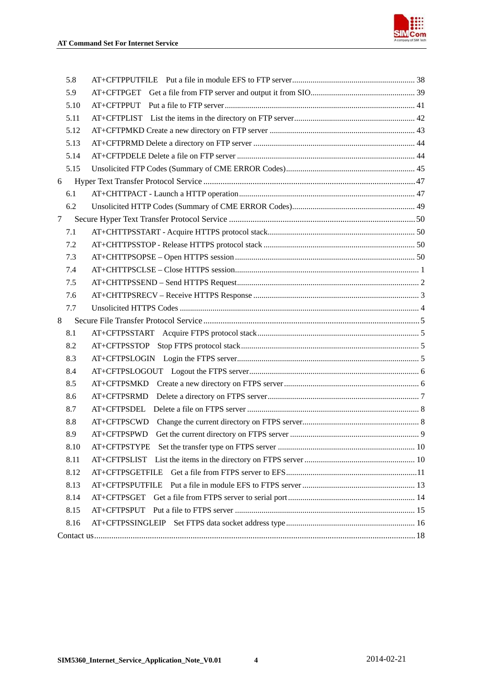

| 5.8    |                 |  |
|--------|-----------------|--|
| 5.9    |                 |  |
| 5.10   | AT+CFTPPUT      |  |
| 5.11   |                 |  |
| 5.12   |                 |  |
| 5.13   |                 |  |
| 5.14   |                 |  |
| 5.15   |                 |  |
| 6      |                 |  |
| 6.1    |                 |  |
| 6.2    |                 |  |
| $\tau$ |                 |  |
| 7.1    |                 |  |
| 7.2    |                 |  |
| 7.3    |                 |  |
| 7.4    |                 |  |
| 7.5    |                 |  |
| 7.6    |                 |  |
| 7.7    |                 |  |
| 8      |                 |  |
| 8.1    |                 |  |
| 8.2    |                 |  |
| 8.3    |                 |  |
| 8.4    |                 |  |
| 8.5    |                 |  |
| 8.6    | AT+CFTPSRMD     |  |
| 8.7    |                 |  |
| 8.8    | AT+CFTPSCWD     |  |
| 8.9    | AT+CFTPSPWD     |  |
| 8.10   |                 |  |
| 8.11   |                 |  |
| 8.12   |                 |  |
| 8.13   | AT+CFTPSPUTFILE |  |
| 8.14   |                 |  |
| 8.15   |                 |  |
| 8.16   |                 |  |
|        |                 |  |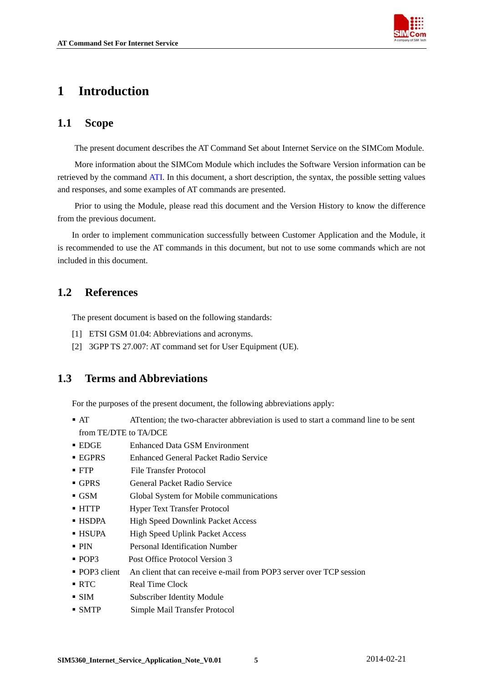

## <span id="page-5-0"></span>**1 Introduction**

## **1.1 Scope**

The present document describes the AT Command Set about Internet Service on the SIMCom Module.

More information about the SIMCom Module which includes the Software Version information can be retrieved by the command ATI. In this document, a short description, the syntax, the possible setting values and responses, and some examples of AT commands are presented.

Prior to using the Module, please read this document and the [Version History](#page-3-0) to know the difference from the previous document.

In order to implement communication successfully between Customer Application and the Module, it is recommended to use the AT commands in this document, but not to use some commands which are not included in this document.

## **1.2 References**

The present document is based on the following standards:

- [1] ETSI GSM 01.04: Abbreviations and acronyms.
- [2] 3GPP TS 27.007: AT command set for User Equipment (UE).

## **1.3 Terms and Abbreviations**

For the purposes of the present document, the following abbreviations apply:

- AT ATtention; the two-character abbreviation is used to start a command line to be sent from TE/DTE to TA/DCE
- **EDGE** Enhanced Data GSM Environment
- EGPRS Enhanced General Packet Radio Service
- **FTP** File Transfer Protocol
- GPRS General Packet Radio Service
- GSM Global System for Mobile communications
- HTTP Hyper Text Transfer Protocol
- HSDPA High Speed Downlink Packet Access
- HSUPA High Speed Uplink Packet Access
- PIN Personal Identification Number
- POP3 Post Office Protocol Version 3
- **POP3** client An client that can receive e-mail from POP3 server over TCP session
- RTC Real Time Clock
- SIM Subscriber Identity Module
- SMTP Simple Mail Transfer Protocol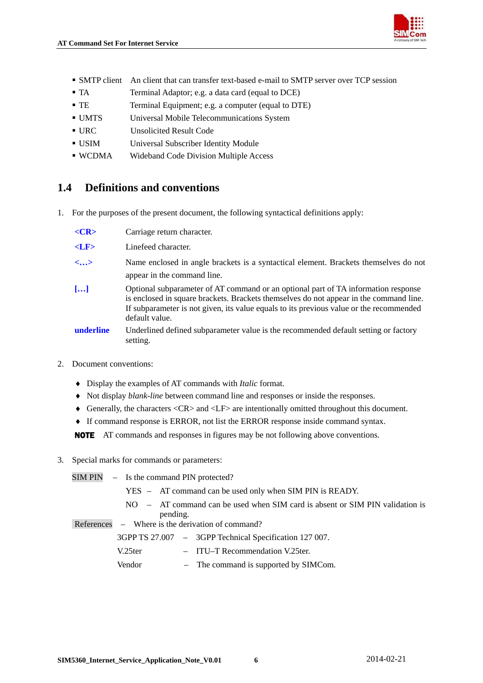

- <span id="page-6-0"></span>SMTP client An client that can transfer text-based e-mail to SMTP server over TCP session
- TA Terminal Adaptor; e.g. a data card (equal to DCE)
- TE Terminal Equipment; e.g. a computer (equal to DTE)
- UMTS Universal Mobile Telecommunications System
- URC Unsolicited Result Code
- USIM Universal Subscriber Identity Module
- WCDMA Wideband Code Division Multiple Access

## **1.4 Definitions and conventions**

1. For the purposes of the present document, the following syntactical definitions apply:

| $<$ CR>                  | Carriage return character.                                                                                                                                                                                                                                                                |
|--------------------------|-------------------------------------------------------------------------------------------------------------------------------------------------------------------------------------------------------------------------------------------------------------------------------------------|
| $<$ LF $>$               | Linefeed character.                                                                                                                                                                                                                                                                       |
| $\langle \ldots \rangle$ | Name enclosed in angle brackets is a syntactical element. Brackets themselves do not<br>appear in the command line.                                                                                                                                                                       |
| $\left[\ldots\right]$    | Optional subparameter of AT command or an optional part of TA information response<br>is enclosed in square brackets. Brackets themselves do not appear in the command line.<br>If subparameter is not given, its value equals to its previous value or the recommended<br>default value. |
| underline                | Underlined defined subparameter value is the recommended default setting or factory<br>setting.                                                                                                                                                                                           |

- 2. Document conventions:
	- ♦ Display the examples of AT commands with *Italic* format.
	- ♦ Not display *blank-line* between command line and responses or inside the responses.
	- ♦ Generally, the characters <CR> and <LF> are intentionally omitted throughout this document.
	- ♦ If command response is ERROR, not list the ERROR response inside command syntax.

NOTE AT commands and responses in figures may be not following above conventions.

3. Special marks for commands or parameters:

SIM PIN – Is the command PIN protected? YES – AT command can be used only when SIM PIN is READY. NO – AT command can be used when SIM card is absent or SIM PIN validation is pending. References – Where is the derivation of command? 3GPP TS 27.007 – 3GPP Technical Specification 127 007. V.25ter – ITU–T Recommendation V.25ter. Vendor – The command is supported by SIMCom.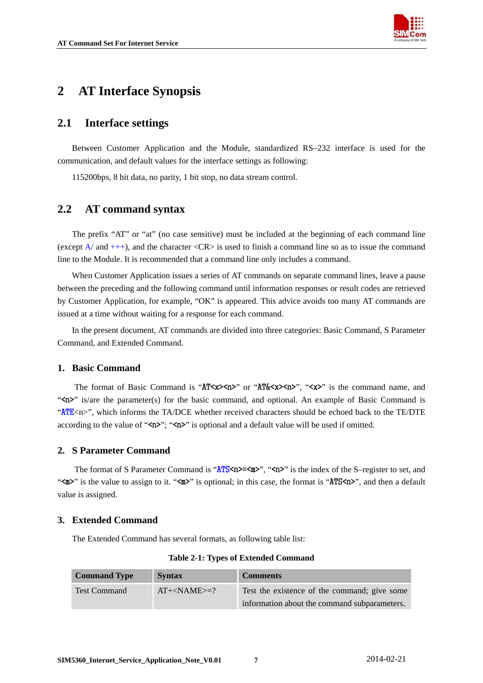

## <span id="page-7-0"></span>**2 AT Interface Synopsis**

## **2.1 Interface settings**

Between Customer Application and the Module, standardized RS–232 interface is used for the communication, and default values for the interface settings as following:

115200bps, 8 bit data, no parity, 1 bit stop, no data stream control.

## **2.2 AT command syntax**

The prefix "AT" or "at" (no case sensitive) must be included at the beginning of each command line (except  $A$  and  $++$ ), and the character  $\langle CR \rangle$  is used to finish a command line so as to issue the command line to the Module. It is recommended that a command line only includes a command.

When Customer Application issues a series of AT commands on separate command lines, leave a pause between the preceding and the following command until information responses or result codes are retrieved by Customer Application, for example, "OK" is appeared. This advice avoids too many AT commands are issued at a time without waiting for a response for each command.

In the present document, AT commands are divided into three categories: Basic Command, S Parameter Command, and Extended Command.

## **1. Basic Command**

The format of Basic Command is "AT <**x>>>>>>**" or "AT & <**x>>>>>>"** ("<**x>>**" is the command name, and "
is/are the parameter(s) for the basic command, and optional. An example of Basic Command is "ATE<n>", which informs the TA/DCE whether received characters should be echoed back to the TE/DTE according to the value of " $\langle n \rangle$ "; " $\langle n \rangle$ " is optional and a default value will be used if omitted.

## **2. S Parameter Command**

The format of S Parameter Command is " $\angle MTS\langle n\rangle = \angle m$ ", " $\langle n\rangle$ " is the index of the S-register to set, and " $\langle m \rangle$ " is the value to assign to it. " $\langle m \rangle$ " is optional; in this case, the format is "ATS $\langle n \rangle$ ", and then a default value is assigned.

## **3. Extended Command**

The Extended Command has several formats, as following table list:

| <b>Command Type</b> | <b>Syntax</b>       | <b>Comments</b>                              |
|---------------------|---------------------|----------------------------------------------|
| <b>Test Command</b> | $AT + < NAME \ge 2$ | Test the existence of the command; give some |
|                     |                     | information about the command subparameters. |

#### **Table 2-1: Types of Extended Command**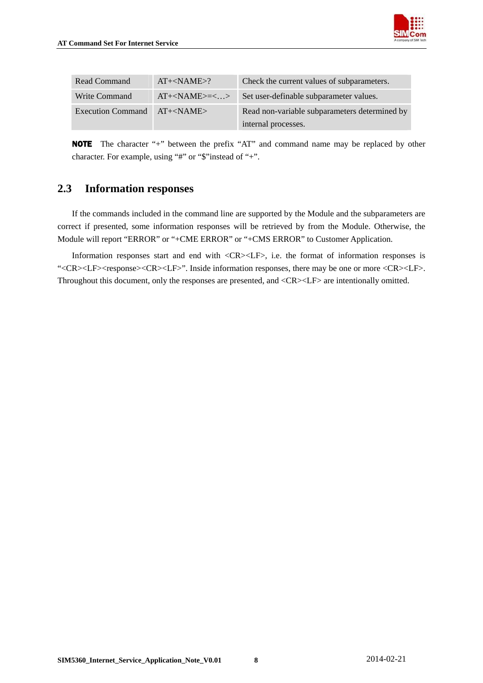

<span id="page-8-0"></span>

| Read Command             | $AT + < NAME > ?$    | Check the current values of subparameters.    |
|--------------------------|----------------------|-----------------------------------------------|
| Write Command            | $AT + < NAME > = <>$ | Set user-definable subparameter values.       |
| <b>Execution Command</b> | $AT + < NAME$        | Read non-variable subparameters determined by |
|                          |                      | internal processes.                           |

NOTEThe character "+" between the prefix "AT" and command name may be replaced by other character. For example, using "#" or "\$"instead of "+".

## **2.3 Information responses**

If the commands included in the command line are supported by the Module and the subparameters are correct if presented, some information responses will be retrieved by from the Module. Otherwise, the Module will report "ERROR" or "+CME ERROR" or "+CMS ERROR" to Customer Application.

Information responses start and end with <CR><LF>, i.e. the format of information responses is "<CR><LF><response><CR><LF>". Inside information responses, there may be one or more <CR><LF>. Throughout this document, only the responses are presented, and <CR><LF> are intentionally omitted.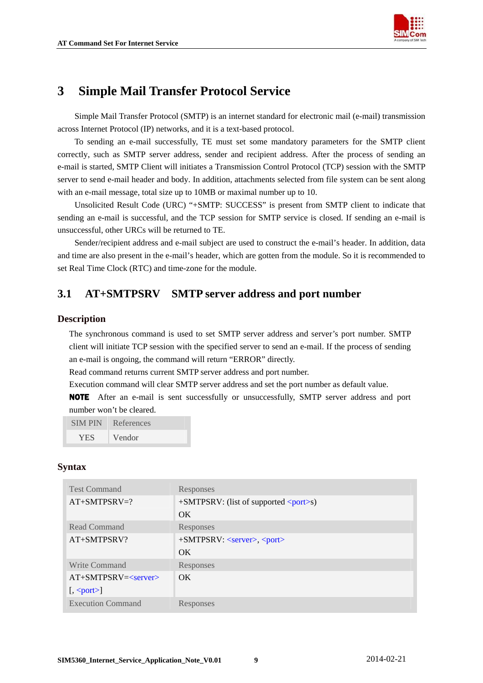

## <span id="page-9-0"></span>**3 Simple Mail Transfer Protocol Service**

Simple Mail Transfer Protocol (SMTP) is an internet standard for electronic mail (e-mail) transmission across Internet Protocol (IP) networks, and it is a text-based protocol.

To sending an e-mail successfully, TE must set some mandatory parameters for the SMTP client correctly, such as SMTP server address, sender and recipient address. After the process of sending an e-mail is started, SMTP Client will initiates a Transmission Control Protocol (TCP) session with the SMTP server to send e-mail header and body. In addition, attachments selected from file system can be sent along with an e-mail message, total size up to 10MB or maximal number up to 10.

Unsolicited Result Code (URC) "+SMTP: SUCCESS" is present from SMTP client to indicate that sending an e-mail is successful, and the TCP session for SMTP service is closed. If sending an e-mail is unsuccessful, other URCs will be returned to TE.

Sender/recipient address and e-mail subject are used to construct the e-mail's header. In addition, data and time are also present in the e-mail's header, which are gotten from the module. So it is recommended to set Real Time Clock (RTC) and time-zone for the module.

## **3.1 AT+SMTPSRV SMTP server address and port number**

## **Description**

The synchronous command is used to set SMTP server address and server's port number. SMTP client will initiate TCP session with the specified server to send an e-mail. If the process of sending an e-mail is ongoing, the command will return "ERROR" directly.

Read command returns current SMTP server address and port number.

Execution command will clear SMTP server address and set the port number as default value.

NOTE After an e-mail is sent successfully or unsuccessfully, SMTP server address and port number won't be cleared.

SIM PIN References

| YES | Vendor |
|-----|--------|
|     |        |

| <b>Test Command</b>      | Responses                                                   |
|--------------------------|-------------------------------------------------------------|
| $AT+SMTPSRV=?$           | $+$ SMTPSRV: (list of supported $\langle$ port $\rangle$ s) |
|                          | OK.                                                         |
| Read Command             | Responses                                                   |
| $AT+SMTPSRV$ ?           | +SMTPSRV: <server>, <port></port></server>                  |
|                          | OK                                                          |
| Write Command            | Responses                                                   |
| $AT+SMTPSRV=<$ server>   | $\overline{\text{OK}}$                                      |
| $\left[,\text{}\right]$  |                                                             |
| <b>Execution Command</b> | Responses                                                   |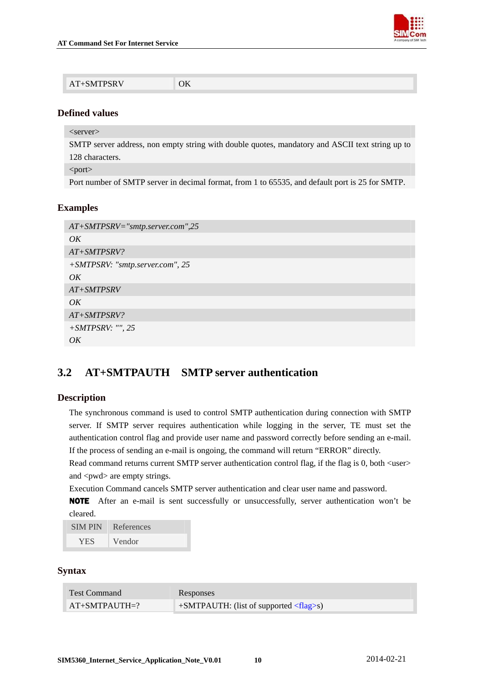

<span id="page-10-0"></span>

| ОK<br>AT+SMTPSRV |  |
|------------------|--|
|------------------|--|

<server>

SMTP server address, non empty string with double quotes, mandatory and ASCII text string up to 128 characters.

<port>

Port number of SMTP server in decimal format, from 1 to 65535, and default port is 25 for SMTP.

#### **Examples**

| $AT+SMTPSRV=$ "smtp.server.com",25 |
|------------------------------------|
| OK                                 |
| $AT+SMTPSRV$ ?                     |
| +SMTPSRV: "smtp.server.com", 25    |
| OK                                 |
| $AT+SMTPSRV$                       |
| OK                                 |
| $AT+SMTPSRV$ ?                     |
| $+ SMTPSRV:$ "", 25                |
| OK                                 |

## **3.2 AT+SMTPAUTH SMTP server authentication**

#### **Description**

The synchronous command is used to control SMTP authentication during connection with SMTP server. If SMTP server requires authentication while logging in the server, TE must set the authentication control flag and provide user name and password correctly before sending an e-mail. If the process of sending an e-mail is ongoing, the command will return "ERROR" directly.

Read command returns current SMTP server authentication control flag, if the flag is 0, both <user> and  $\langle \text{pwd} \rangle$  are empty strings.

Execution Command cancels SMTP server authentication and clear user name and password.

NOTE After an e-mail is sent successfully or unsuccessfully, server authentication won't be cleared.

| <b>SIMPIN</b> | References |
|---------------|------------|
| YES.          | Vendor     |

| <b>Test Command</b> | Responses                                          |
|---------------------|----------------------------------------------------|
| $AT+SMTPAUTH=?$     | $+$ SMTPAUTH: (list of supported $\langle$ flag>s) |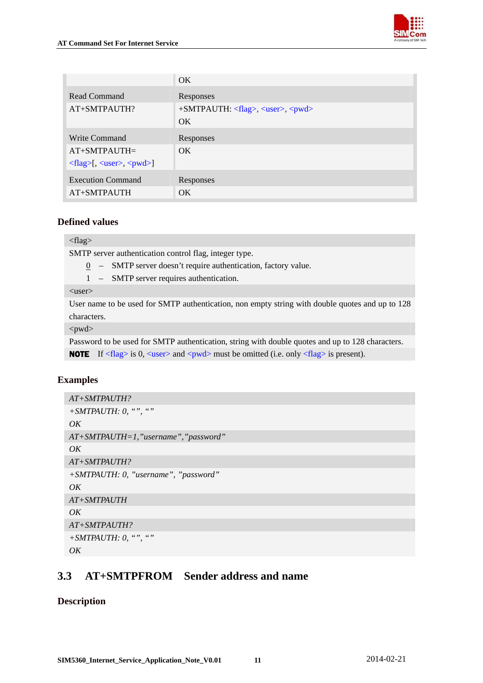

<span id="page-11-0"></span>

|                                                                            | OK.                                                            |
|----------------------------------------------------------------------------|----------------------------------------------------------------|
| Read Command                                                               | Responses                                                      |
| AT+SMTPAUTH?                                                               | $+$ SMTPAUTH: $\langle$ flag>, $\langle$ user>, $\langle$ pwd> |
|                                                                            | OK.                                                            |
| Write Command                                                              | Responses                                                      |
| $AT+SMTPAUTH=$                                                             | OK.                                                            |
| $\langle flag \rangle$ [, $\langle user \rangle$ , $\langle pwd \rangle$ ] |                                                                |
| <b>Execution Command</b>                                                   | Responses                                                      |
| AT+SMTPAUTH                                                                | OK.                                                            |

<flag>

SMTP server authentication control flag, integer type.

- 0 SMTP server doesn't require authentication, factory value.
- 1 SMTP server requires authentication.

<user>

User name to be used for SMTP authentication, non empty string with double quotes and up to 128 characters.

<pwd>

Password to be used for SMTP authentication, string with double quotes and up to 128 characters. **NOTE** If  $\langle$ flag> is 0,  $\langle$ user> and  $\langle$ pwd> must be omitted (i.e. only  $\langle$ flag> is present).

## **Examples**

```
AT+SMTPAUTH? 
+SMTPAUTH: 0, "", "" 
OK 
AT+SMTPAUTH=1,"username","password" 
OK 
AT+SMTPAUTH? 
+SMTPAUTH: 0, "username", "password" 
OK 
AT+SMTPAUTH 
OK 
AT+SMTPAUTH? 
+SMTPAUTH: 0, "", "" 
OK
```
## **3.3 AT+SMTPFROM Sender address and name**

## **Description**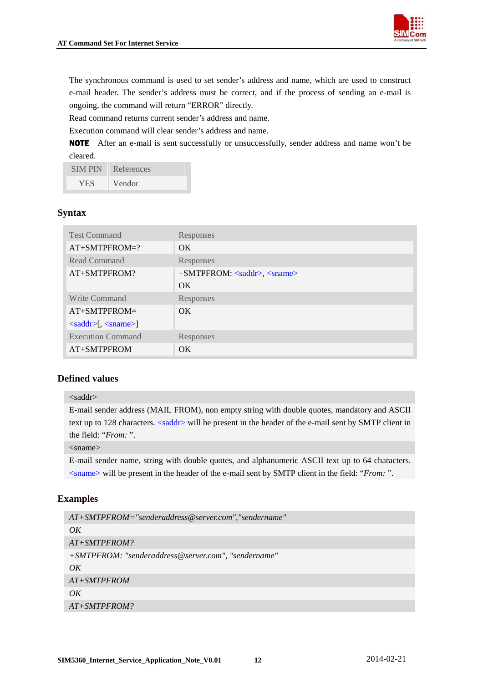

The synchronous command is used to set sender's address and name, which are used to construct e-mail header. The sender's address must be correct, and if the process of sending an e-mail is ongoing, the command will return "ERROR" directly.

Read command returns current sender's address and name.

Execution command will clear sender's address and name.

NOTE After an e-mail is sent successfully or unsuccessfully, sender address and name won't be cleared.

| <b>SIMPIN</b> | References |
|---------------|------------|
| <b>YES</b>    | Vendor     |

## **Syntax**

| <b>Test Command</b>                                           | Responses                                                |
|---------------------------------------------------------------|----------------------------------------------------------|
| AT+SMTPFROM=?                                                 | $\overline{\text{OK}}$                                   |
| Read Command                                                  | Responses                                                |
| AT+SMTPFROM?                                                  | $+SMTPFROM: \langle saddr \rangle, \langle same \rangle$ |
|                                                               | OK.                                                      |
| Write Command                                                 | Responses                                                |
| $AT+SMTPFROM=$                                                | $\alpha$                                                 |
| $\langle \text{saddr}\rangle$ , $\langle \text{sname}\rangle$ |                                                          |
| <b>Execution Command</b>                                      | Responses                                                |
| AT+SMTPFROM                                                   | OK.                                                      |

## **Defined values**

#### <saddr>

E-mail sender address (MAIL FROM), non empty string with double quotes, mandatory and ASCII text up to 128 characters.  $\langle$ saddr $\rangle$  will be present in the header of the e-mail sent by SMTP client in the field: "*From:* ".

#### <sname>

E-mail sender name, string with double quotes, and alphanumeric ASCII text up to 64 characters. <sname> will be present in the header of the e-mail sent by SMTP client in the field: "*From:* ".

#### **Examples**

```
AT+SMTPFROM="senderaddress@server.com","sendername" 
OK 
AT+SMTPFROM? 
+SMTPFROM: "senderaddress@server.com", "sendername" 
OK
AT+SMTPFROM 
\overline{OK}AT+SMTPFROM?
```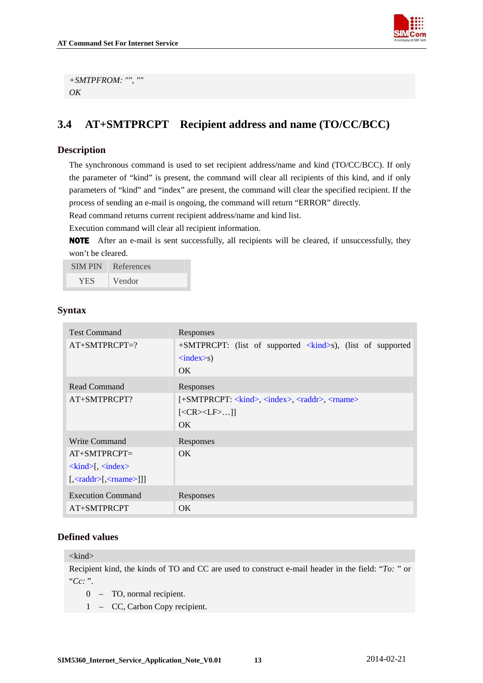```
+SMTPFROM: "", "" 
OK
```
## **3.4 AT+SMTPRCPT Recipient address and name (TO/CC/BCC)**

## **Description**

The synchronous command is used to set recipient address/name and kind (TO/CC/BCC). If only the parameter of "kind" is present, the command will clear all recipients of this kind, and if only parameters of "kind" and "index" are present, the command will clear the specified recipient. If the process of sending an e-mail is ongoing, the command will return "ERROR" directly.

Read command returns current recipient address/name and kind list.

Execution command will clear all recipient information.

NOTE After an e-mail is sent successfully, all recipients will be cleared, if unsuccessfully, they won't be cleared.

| <b>SIMPIN</b> | References |
|---------------|------------|
| YES.          | Vendor     |

## **Syntax**

| <b>Test Command</b>                                                                           | Responses                                                                                          |
|-----------------------------------------------------------------------------------------------|----------------------------------------------------------------------------------------------------|
| $AT+SMTPRCPT=?$                                                                               | $+$ SMTPRCPT: (list of supported $\langle$ kind>s), (list of supported<br>$\langle index>s\rangle$ |
|                                                                                               | OK.                                                                                                |
| Read Command                                                                                  | Responses                                                                                          |
| $AT+SMTPRCPT?$                                                                                | [+SMTPRCPT: <kind>, <index>, <raddr>, <rname></rname></raddr></index></kind>                       |
|                                                                                               | $[<\!\!CR\!\!>\!\!LE\!\!>]$                                                                        |
|                                                                                               | OK.                                                                                                |
| Write Command                                                                                 | Responses                                                                                          |
| $AT+SMTPRCPT=$                                                                                | OK.                                                                                                |
| $\langle$ kind $\rangle$ [, $\langle$ index $\rangle$                                         |                                                                                                    |
| $\left[ \langle \text{raddr} \rangle \left[ \langle \text{c} \rangle \right] \rangle \right]$ |                                                                                                    |
| <b>Execution Command</b>                                                                      | Responses                                                                                          |
| AT+SMTPRCPT                                                                                   | OK.                                                                                                |

## **Defined values**

#### $\langle$ kind $\rangle$

Recipient kind, the kinds of TO and CC are used to construct e-mail header in the field: "*To:* " or "*Cc:* ".

- 0 TO, normal recipient.
- 1 CC, Carbon Copy recipient.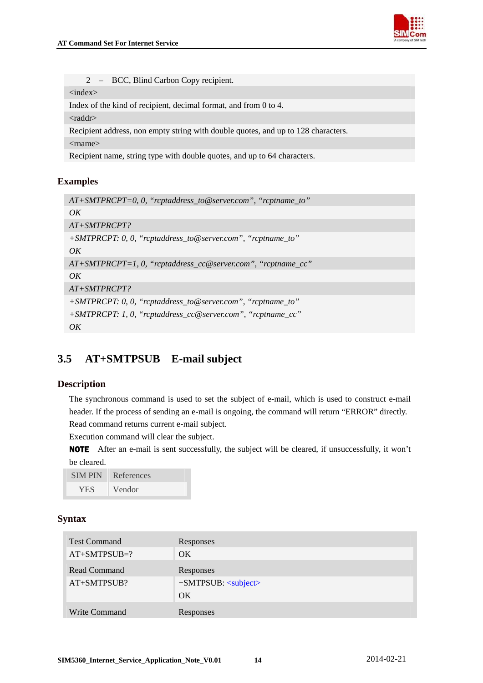

<span id="page-14-0"></span>2 – BCC, Blind Carbon Copy recipient.

<index>

Index of the kind of recipient, decimal format, and from 0 to 4.

<raddr>

Recipient address, non empty string with double quotes, and up to 128 characters.

<rname>

Recipient name, string type with double quotes, and up to 64 characters.

#### **Examples**

| $AT+SMTPRCPT=0, 0, "reptaddress_to@server.com", "reptname_to"$ |
|----------------------------------------------------------------|
| OK                                                             |
| $AT+SMTPRCPT?$                                                 |
| $+SMTPRCPT: 0, 0, "rcptaddress_to@server.com", "rcptname_to"$  |
| $\overline{OK}$                                                |
| $AT+SMTPRCPT=1, 0, "reptaddress_cc@server.com", "reptname_cc"$ |
| $\overline{OK}$                                                |
| $AT+SMTPRCPT?$                                                 |
| +SMTPRCPT: 0, 0, "rcptaddress_to@server.com", "rcptname_to"    |
| +SMTPRCPT: 1, 0, "rcptaddress_cc@server.com", "rcptname_cc"    |
| OK                                                             |

## **3.5 AT+SMTPSUB E-mail subject**

## **Description**

The synchronous command is used to set the subject of e-mail, which is used to construct e-mail header. If the process of sending an e-mail is ongoing, the command will return "ERROR" directly. Read command returns current e-mail subject.

Execution command will clear the subject.

NOTE After an e-mail is sent successfully, the subject will be cleared, if unsuccessfully, it won't be cleared.

| <b>SIMPIN</b> | References |
|---------------|------------|
| YES.          | Vendor     |

| <b>Test Command</b> | Responses                                |
|---------------------|------------------------------------------|
| $AT+SMTPSUB=?$      | OK                                       |
| Read Command        | Responses                                |
| AT+SMTPSUB?         | $+$ SMTPSUB: $\langle$ subject $\rangle$ |
|                     | OK                                       |
| Write Command       | Responses                                |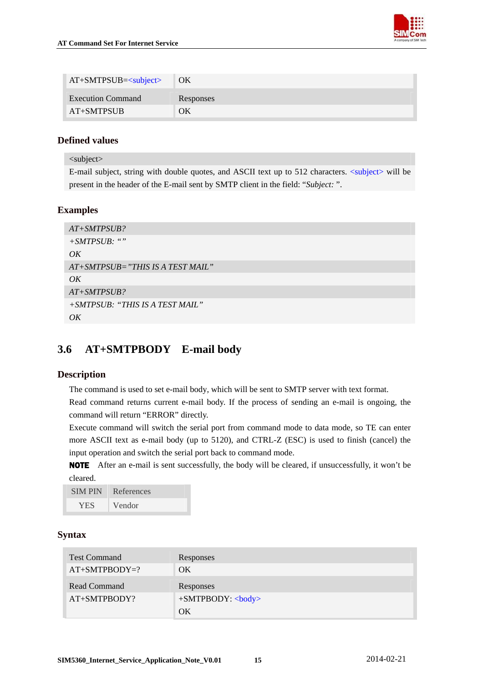

<span id="page-15-0"></span>

| $AT+SMTPSUB=subject>$    | $\overline{O}$ OK |
|--------------------------|-------------------|
| <b>Execution Command</b> | Responses         |
| <b>AT+SMTPSUB</b>        | OК                |

<subject>

E-mail subject, string with double quotes, and ASCII text up to 512 characters. <subject> will be present in the header of the E-mail sent by SMTP client in the field: "*Subject:* ".

## **Examples**

```
AT+SMTPSUB? 
+SMTPSUB: "" 
OKAT+SMTPSUB="THIS IS A TEST MAIL" 
OK 
AT+SMTPSUB? 
+SMTPSUB: "THIS IS A TEST MAIL" 
OK
```
## **3.6 AT+SMTPBODY E-mail body**

#### **Description**

The command is used to set e-mail body, which will be sent to SMTP server with text format.

Read command returns current e-mail body. If the process of sending an e-mail is ongoing, the command will return "ERROR" directly.

Execute command will switch the serial port from command mode to data mode, so TE can enter more ASCII text as e-mail body (up to 5120), and CTRL-Z (ESC) is used to finish (cancel) the input operation and switch the serial port back to command mode.

NOTE After an e-mail is sent successfully, the body will be cleared, if unsuccessfully, it won't be cleared.

| <b>SIMPIN</b> | References          |
|---------------|---------------------|
| <b>YES</b>    | Vendor <sup>1</sup> |

| <b>Test Command</b> | Responses                  |
|---------------------|----------------------------|
| $AT+SMTPBODY=?$     | OK                         |
| Read Command        | Responses                  |
| AT+SMTPBODY?        | $+SMTPBODY$ :<br><br>body> |
|                     | OК                         |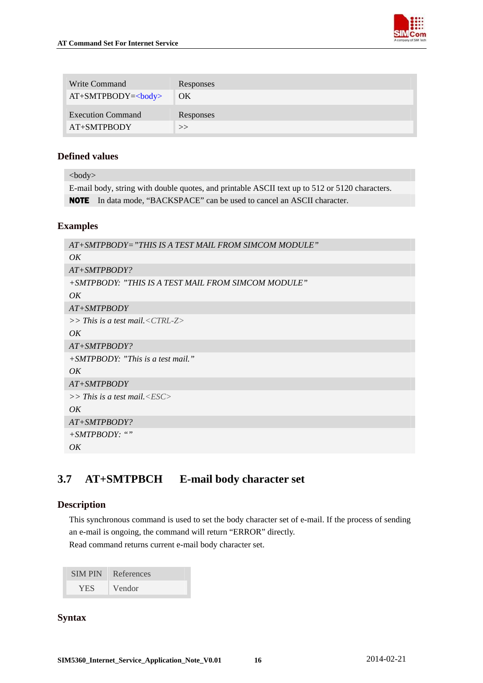<span id="page-16-0"></span>

| Write Command            | Responses |
|--------------------------|-----------|
| $AT+SMTPBODY=$           | OK        |
| <b>Execution Command</b> | Responses |
| AT+SMTPBODY              | >>        |

<body>

E-mail body, string with double quotes, and printable ASCII text up to 512 or 5120 characters. NOTE In data mode, "BACKSPACE" can be used to cancel an ASCII character.

### **Examples**

| AT+SMTPBODY="THIS IS A TEST MAIL FROM SIMCOM MODULE" |
|------------------------------------------------------|
| OK                                                   |
| $AT+SMTPBODY?$                                       |
| +SMTPBODY: "THIS IS A TEST MAIL FROM SIMCOM MODULE"  |
| $\overline{OK}$                                      |
| $AT+SMTPBODY$                                        |
| $>>$ This is a test mail. < CTRL-Z $>$               |
| $\overline{OK}$                                      |
| $AT+SMTPBODY?$                                       |
| $+SMTPBODY:$ "This is a test mail."                  |
| $\overline{OK}$                                      |
| $AT+SMTPBODY$                                        |
| $>>$ This is a test mail. $\langle ESC \rangle$      |
| $\overline{OK}$                                      |
| $AT+SMTPBODY?$                                       |
| $+SMTPBODY:$ ""                                      |
| OK                                                   |
|                                                      |

## **3.7 AT+SMTPBCH E-mail body character set**

## **Description**

This synchronous command is used to set the body character set of e-mail. If the process of sending an e-mail is ongoing, the command will return "ERROR" directly. Read command returns current e-mail body character set.

| <b>SIMPIN</b> | References |
|---------------|------------|
| <b>YES</b>    | Vendor     |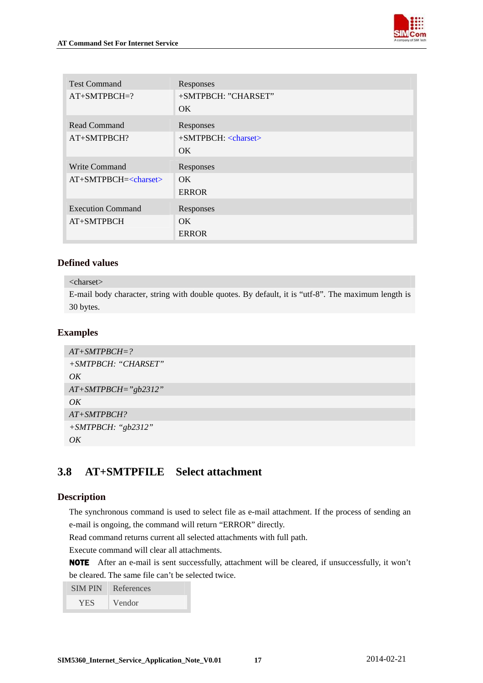

<span id="page-17-0"></span>

| <b>Test Command</b>      | Responses                                |
|--------------------------|------------------------------------------|
| $AT+SMTPBCH=?$           | +SMTPBCH: "CHARSET"                      |
|                          | OK.                                      |
| <b>Read Command</b>      | Responses                                |
| AT+SMTPBCH?              | $+$ SMTPBCH: $\langle$ charset $\rangle$ |
|                          | OK.                                      |
| Write Command            | Responses                                |
| $AT+SMTPBCH=<>charse$    | OK.                                      |
|                          | <b>ERROR</b>                             |
| <b>Execution Command</b> | Responses                                |
| AT+SMTPBCH               | OK.                                      |
|                          | <b>ERROR</b>                             |

## <charset>

E-mail body character, string with double quotes. By default, it is "utf-8". The maximum length is 30 bytes.

## **Examples**

| $AT+SMTPBCH=?$        |
|-----------------------|
| +SMTPBCH: "CHARSET"   |
| OK                    |
| $AT+SMTPBCH="gb2312"$ |
| OK                    |
| $AT+SMTPBCH?$         |
| $+ SMTPBCH:$ "gb2312" |
| $\overline{OK}$       |

## **3.8 AT+SMTPFILE Select attachment**

## **Description**

The synchronous command is used to select file as e-mail attachment. If the process of sending an e-mail is ongoing, the command will return "ERROR" directly.

Read command returns current all selected attachments with full path.

Execute command will clear all attachments.

NOTE After an e-mail is sent successfully, attachment will be cleared, if unsuccessfully, it won't be cleared. The same file can't be selected twice.

| <b>SIMPIN</b> | References |
|---------------|------------|
| <b>YES</b>    | Vendor     |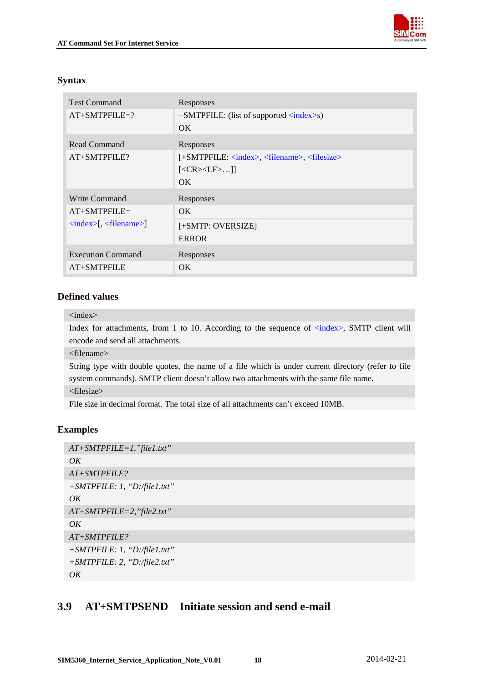

## <span id="page-18-0"></span>**Syntax**

| <b>Test Command</b>                                  | Responses                                                                 |
|------------------------------------------------------|---------------------------------------------------------------------------|
| $AT+SMTPFILE=?$                                      | $+$ SMTPFILE: (list of supported $\langle$ index>s)                       |
|                                                      | OK.                                                                       |
| Read Command                                         | Responses                                                                 |
| $AT+SMTPFILE?$                                       | [+SMTPFILE: <index>, <filename>, <filesize></filesize></filename></index> |
|                                                      | $[<\!\!CR\!\!>\!\!<\!\!LF\!\!>]$                                          |
|                                                      | OK.                                                                       |
| Write Command                                        | Responses                                                                 |
| $AT+SMTPEILE=$                                       | OK.                                                                       |
| $\langle index \rangle$ , $\langle filename \rangle$ | [+SMTP: OVERSIZE]                                                         |
|                                                      | <b>ERROR</b>                                                              |
| <b>Execution Command</b>                             | Responses                                                                 |
| AT+SMTPFILE                                          | OK.                                                                       |

## **Defined values**

#### <index>

Index for attachments, from 1 to 10. According to the sequence of  $\langle$ index>, SMTP client will encode and send all attachments.

<filename>

String type with double quotes, the name of a file which is under current directory (refer to file system commands). SMTP client doesn't allow two attachments with the same file name.

<filesize>

File size in decimal format. The total size of all attachments can't exceed 10MB.

## **Examples**

```
AT+SMTPFILE=1,"file1.txt" 
OK 
AT+SMTPFILE? 
+SMTPFILE: 1, "D:/file1.txt" 
OK 
AT+SMTPFILE=2,"file2.txt" 
OKAT+SMTPFILE? 
+SMTPFILE: 1, "D:/file1.txt" 
+SMTPFILE: 2, "D:/file2.txt" 
OK
```
## **3.9 AT+SMTPSEND Initiate session and send e-mail**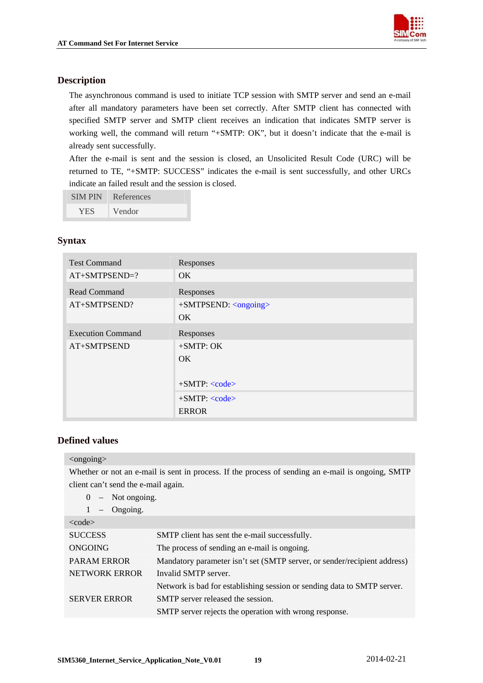

## <span id="page-19-0"></span>**Description**

The asynchronous command is used to initiate TCP session with SMTP server and send an e-mail after all mandatory parameters have been set correctly. After SMTP client has connected with specified SMTP server and SMTP client receives an indication that indicates SMTP server is working well, the command will return "+SMTP: OK", but it doesn't indicate that the e-mail is already sent successfully.

After the e-mail is sent and the session is closed, an Unsolicited Result Code (URC) will be returned to TE, "+SMTP: SUCCESS" indicates the e-mail is sent successfully, and other URCs indicate an failed result and the session is closed.

| <b>SIMPIN</b> | References |
|---------------|------------|
| <b>YES</b>    | Vendor     |

## **Syntax**

| <b>Test Command</b>      | Responses                                 |
|--------------------------|-------------------------------------------|
| $AT+SMTPSEND=?$          | OK.                                       |
| <b>Read Command</b>      | Responses                                 |
| AT+SMTPSEND?             | $+$ SMTPSEND: $\langle$ ongoing $\rangle$ |
|                          | OK.                                       |
| <b>Execution Command</b> | Responses                                 |
| AT+SMTPSEND              | $+SMTP$ : OK                              |
|                          | OK.                                       |
|                          |                                           |
|                          | $+SMTP: code>$                            |
|                          | $+SMTP: code>$                            |
|                          | <b>ERROR</b>                              |

## **Defined values**

#### <ongoing>

Whether or not an e-mail is sent in process. If the process of sending an e-mail is ongoing, SMTP client can't send the e-mail again.

| chem can coence and comain again. |                                                                          |
|-----------------------------------|--------------------------------------------------------------------------|
| $0 -$ Not ongoing.                |                                                                          |
| Ongoing.<br>1<br>$-$              |                                                                          |
| $<$ code $>$                      |                                                                          |
| <b>SUCCESS</b>                    | SMTP client has sent the e-mail successfully.                            |
| <b>ONGOING</b>                    | The process of sending an e-mail is ongoing.                             |
| <b>PARAM ERROR</b>                | Mandatory parameter isn't set (SMTP server, or sender/recipient address) |
| NETWORK ERROR                     | Invalid SMTP server.                                                     |
|                                   | Network is bad for establishing session or sending data to SMTP server.  |
| <b>SERVER ERROR</b>               | SMTP server released the session.                                        |
|                                   | SMTP server rejects the operation with wrong response.                   |
|                                   |                                                                          |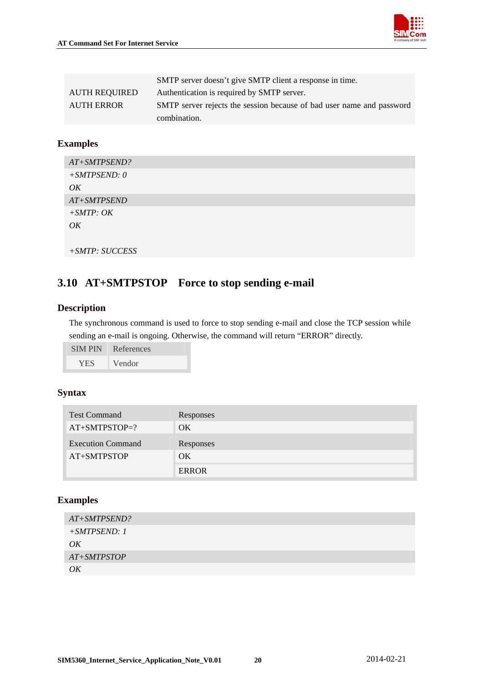

|                      | SMTP server doesn't give SMTP client a response in time.              |
|----------------------|-----------------------------------------------------------------------|
| <b>AUTH REQUIRED</b> | Authentication is required by SMTP server.                            |
| <b>AUTH ERROR</b>    | SMTP server rejects the session because of bad user name and password |
|                      | combination.                                                          |

### **Examples**

| AT+SMTPSEND?   |  |
|----------------|--|
| $+SMTPSEND: 0$ |  |
| OK             |  |
| AT+SMTPSEND    |  |
| $+ SMTP: OK$   |  |
| OK             |  |
|                |  |
| +SMTP: SUCCESS |  |

## **3.10 AT+SMTPSTOP Force to stop sending e-mail**

### **Description**

The synchronous command is used to force to stop sending e-mail and close the TCP session while sending an e-mail is ongoing. Otherwise, the command will return "ERROR" directly.

| <b>SIMPIN</b> | References |
|---------------|------------|
| <b>YES</b>    | Vendor     |

### **Syntax**

| <b>Test Command</b>      | Responses    |
|--------------------------|--------------|
| $AT+SMTPSTOP=?$          | OK           |
| <b>Execution Command</b> | Responses    |
| AT+SMTPSTOP              | OK.          |
|                          | <b>ERROR</b> |

## **Examples**

| AT+SMTPSEND?  |  |
|---------------|--|
| $+SMTPSEND:1$ |  |
| OK            |  |
| AT+SMTPSTOP   |  |
| OK            |  |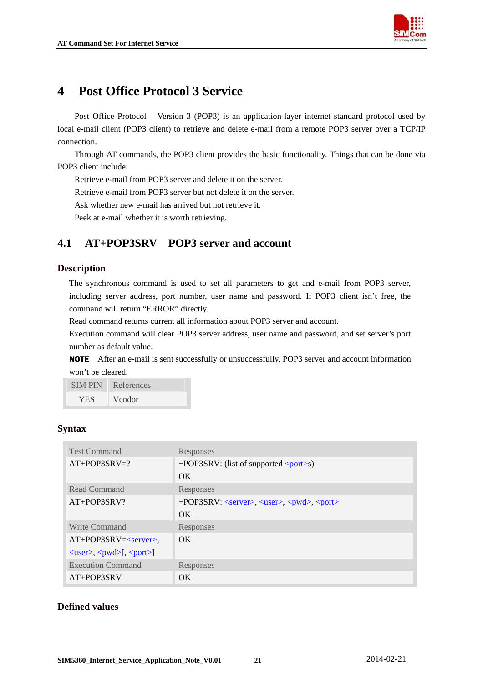

## <span id="page-21-0"></span>**4 Post Office Protocol 3 Service**

Post Office Protocol – Version 3 (POP3) is an application-layer internet standard protocol used by local e-mail client (POP3 client) to retrieve and delete e-mail from a remote POP3 server over a TCP/IP connection.

Through AT commands, the POP3 client provides the basic functionality. Things that can be done via POP3 client include:

Retrieve e-mail from POP3 server and delete it on the server.

Retrieve e-mail from POP3 server but not delete it on the server.

Ask whether new e-mail has arrived but not retrieve it.

Peek at e-mail whether it is worth retrieving.

## **4.1 AT+POP3SRV POP3 server and account**

#### **Description**

The synchronous command is used to set all parameters to get and e-mail from POP3 server, including server address, port number, user name and password. If POP3 client isn't free, the command will return "ERROR" directly.

Read command returns current all information about POP3 server and account.

Execution command will clear POP3 server address, user name and password, and set server's port number as default value.

NOTE After an e-mail is sent successfully or unsuccessfully, POP3 server and account information won't be cleared.

| <b>SIMPIN</b> | References          |
|---------------|---------------------|
| <b>YES</b>    | Vendor <sup>1</sup> |

## **Syntax**

| <b>Test Command</b>                                                        | Responses                                                              |
|----------------------------------------------------------------------------|------------------------------------------------------------------------|
| $AT+POP3SRV=?$                                                             | $+POP3SRV$ : (list of supported $\langle port \rangle$ s)              |
|                                                                            | $\alpha$                                                               |
| Read Command                                                               | Responses                                                              |
| AT+POP3SRV?                                                                | +POP3SRV: <server>, <user>, <pwd>, <port></port></pwd></user></server> |
|                                                                            | $\alpha$                                                               |
| Write Command                                                              | Responses                                                              |
| $AT+POP3SRV = $ ,                                                          | OK.                                                                    |
| $\langle user \rangle$ , $\langle pwd \rangle$ [, $\langle port \rangle$ ] |                                                                        |
| <b>Execution Command</b>                                                   | Responses                                                              |
| $AT+POP3SRV$                                                               | OK.                                                                    |

## **Defined values**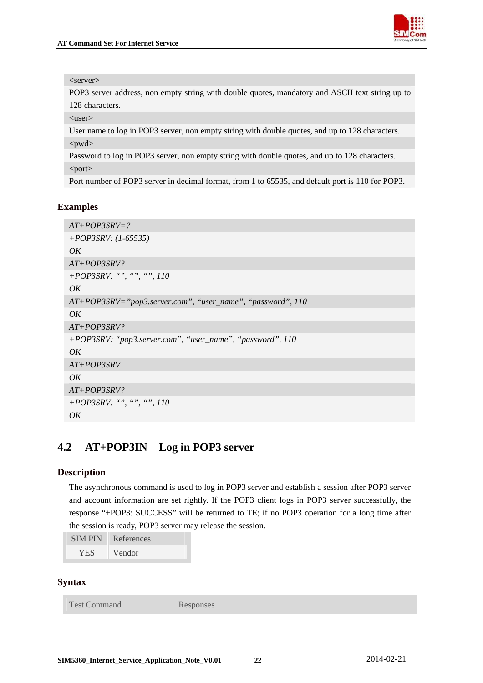

#### <span id="page-22-0"></span><server>

POP3 server address, non empty string with double quotes, mandatory and ASCII text string up to 128 characters.

<user>

User name to log in POP3 server, non empty string with double quotes, and up to 128 characters. <pwd>

Password to log in POP3 server, non empty string with double quotes, and up to 128 characters. <port>

Port number of POP3 server in decimal format, from 1 to 65535, and default port is 110 for POP3.

#### **Examples**

```
AT+POP3SRV=? 
+POP3SRV: (1-65535) 
OK 
AT+POP3SRV? 
+POP3SRV: "", "", "", 110 
OK 
AT+POP3SRV="pop3.server.com", "user_name", "password", 110 
OKAT+POP3SRV? 
+POP3SRV: "pop3.server.com", "user_name", "password", 110 
OK 
AT+POP3SRV 
OKAT+POP3SRV? 
+POP3SRV: "", "", "", 110 
OK
```
## **4.2 AT+POP3IN Log in POP3 server**

#### **Description**

The asynchronous command is used to log in POP3 server and establish a session after POP3 server and account information are set rightly. If the POP3 client logs in POP3 server successfully, the response "+POP3: SUCCESS" will be returned to TE; if no POP3 operation for a long time after the session is ready, POP3 server may release the session.

```
SIM PIN References 
 YES Vendor
```
#### **Syntax**

Test Command Responses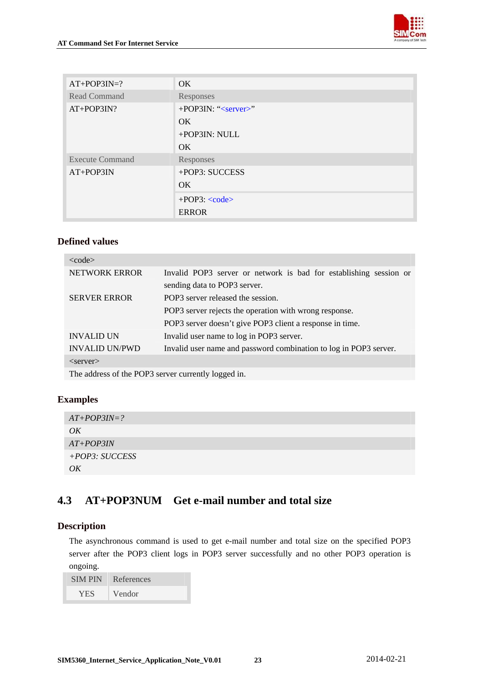

<span id="page-23-0"></span>

| $AT+POP3IN=?$          | OK                            |
|------------------------|-------------------------------|
| Read Command           | Responses                     |
| AT+POP3IN?             | +POP3IN: " <server>"</server> |
|                        | OK.                           |
|                        | +POP3IN: NULL                 |
|                        | OK                            |
| <b>Execute Command</b> | Responses                     |
| $AT+POP3IN$            | +POP3: SUCCESS                |
|                        | OK                            |
|                        | $+POP3$ : $<$ code>           |
|                        | <b>ERROR</b>                  |

| $<$ code $>$                                                                                                                                                                  |                                                                   |
|-------------------------------------------------------------------------------------------------------------------------------------------------------------------------------|-------------------------------------------------------------------|
| <b>NETWORK ERROR</b>                                                                                                                                                          | Invalid POP3 server or network is bad for establishing session or |
|                                                                                                                                                                               | sending data to POP3 server.                                      |
| <b>SERVER ERROR</b>                                                                                                                                                           | POP3 server released the session.                                 |
|                                                                                                                                                                               | POP3 server rejects the operation with wrong response.            |
|                                                                                                                                                                               | POP3 server doesn't give POP3 client a response in time.          |
| <b>INVALID UN</b>                                                                                                                                                             | Invalid user name to log in POP3 server.                          |
| <b>INVALID UN/PWD</b>                                                                                                                                                         | Invalid user name and password combination to log in POP3 server. |
| $\langle$ server $\rangle$                                                                                                                                                    |                                                                   |
| $\mathbf{m}_{\text{max}}$ of $\mathbf{m}_{\text{max}}$ of $\mathbf{m}_{\text{max}}$ and $\mathbf{m}_{\text{max}}$ are $\mathbf{m}_{\text{max}}$ and $\mathbf{m}_{\text{max}}$ |                                                                   |

The address of the POP3 server currently logged in.

## **Examples**

| $AT+POP3IN=?$    |  |
|------------------|--|
| OK               |  |
| $AT+POP3IN$      |  |
| $+POP3: SUCCESS$ |  |
| OK               |  |

## **4.3 AT+POP3NUM Get e-mail number and total size**

## **Description**

The asynchronous command is used to get e-mail number and total size on the specified POP3 server after the POP3 client logs in POP3 server successfully and no other POP3 operation is ongoing.

| <b>SIMPIN</b> | References |
|---------------|------------|
| <b>YES</b>    | Vendor     |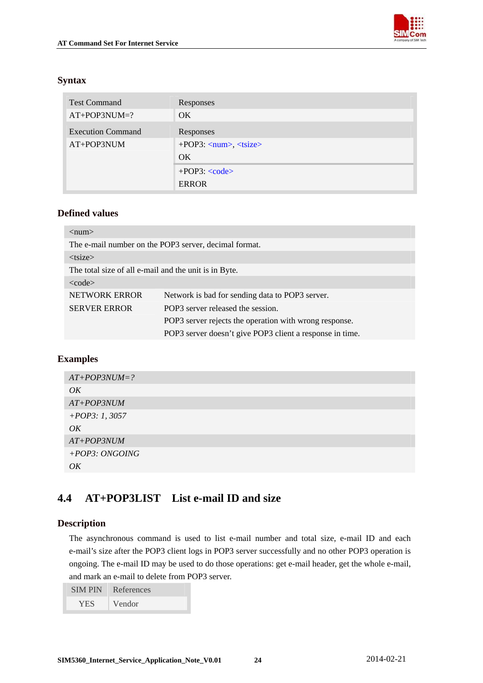

## <span id="page-24-0"></span>**Syntax**

| <b>Test Command</b>      | Responses                                                   |
|--------------------------|-------------------------------------------------------------|
| $AT+POP3NUM=?$           | OK.                                                         |
| <b>Execution Command</b> | Responses                                                   |
| AT+POP3NUM               | $+POP3: \langle num \rangle, \langle t \angle size \rangle$ |
|                          | OK.                                                         |
|                          | $+POP3$ : $<$ code>                                         |
|                          | <b>ERROR</b>                                                |

## **Defined values**

| $<$ num $>$                                           |                                                          |
|-------------------------------------------------------|----------------------------------------------------------|
| The e-mail number on the POP3 server, decimal format. |                                                          |
| $<$ tsize $>$                                         |                                                          |
| The total size of all e-mail and the unit is in Byte. |                                                          |
| $<$ code $>$                                          |                                                          |
| NETWORK ERROR                                         | Network is bad for sending data to POP3 server.          |
| <b>SERVER ERROR</b>                                   | POP3 server released the session.                        |
|                                                       | POP3 server rejects the operation with wrong response.   |
|                                                       | POP3 server doesn't give POP3 client a response in time. |

## **Examples**

| $AT+POP3NUM=?$   |
|------------------|
| OK               |
| $AT+POP3NUM$     |
| $+POP3: 1, 3057$ |
| OK               |
| $AT+POP3NUM$     |
| +POP3: ONGOING   |
| OK               |

## **4.4 AT+POP3LIST List e-mail ID and size**

## **Description**

The asynchronous command is used to list e-mail number and total size, e-mail ID and each e-mail's size after the POP3 client logs in POP3 server successfully and no other POP3 operation is ongoing. The e-mail ID may be used to do those operations: get e-mail header, get the whole e-mail, and mark an e-mail to delete from POP3 server.

| <b>SIMPIN</b> | References |
|---------------|------------|
| YES.          | Vendor     |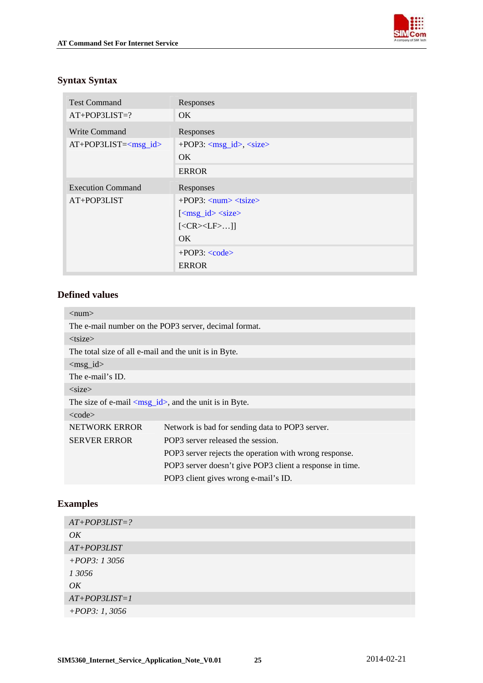

## <span id="page-25-0"></span>**Syntax Syntax**

| <b>Test Command</b>                                  | Responses                                                  |
|------------------------------------------------------|------------------------------------------------------------|
| $AT+POP3LIST=?$                                      | OK.                                                        |
| Write Command                                        | Responses                                                  |
| $AT+POP3LIST=<\hspace{-1.5mm}msg_id\hspace{-1.5mm}>$ | $+POP3: <$ msg_id>, $<$ size>                              |
|                                                      | OK.                                                        |
|                                                      | <b>ERROR</b>                                               |
| <b>Execution Command</b>                             | Responses                                                  |
| AT+POP3LIST                                          | $+POP3: \langle num \rangle \langle t \angle size \rangle$ |
|                                                      | $[$                                                        |
|                                                      | $[<\!\!CR\!\!>\!\!<\!\!LF\!\!>]$                           |
|                                                      | OK.                                                        |
|                                                      | $+POP3$ : $<$ code>                                        |
|                                                      | <b>ERROR</b>                                               |

### **Defined values**

| $\langle$ num $\rangle$                                                       |                                                          |  |
|-------------------------------------------------------------------------------|----------------------------------------------------------|--|
| The e-mail number on the POP3 server, decimal format.                         |                                                          |  |
| $<$ tsize $>$                                                                 |                                                          |  |
| The total size of all e-mail and the unit is in Byte.                         |                                                          |  |
| $\langle \text{msg}_id \rangle$                                               |                                                          |  |
| The e-mail's ID.                                                              |                                                          |  |
| $<$ size $>$                                                                  |                                                          |  |
| The size of e-mail $\langle \text{msg}_id \rangle$ , and the unit is in Byte. |                                                          |  |
| $<$ code $>$                                                                  |                                                          |  |
| <b>NETWORK ERROR</b>                                                          | Network is bad for sending data to POP3 server.          |  |
| <b>SERVER ERROR</b>                                                           | POP3 server released the session.                        |  |
|                                                                               | POP3 server rejects the operation with wrong response.   |  |
|                                                                               | POP3 server doesn't give POP3 client a response in time. |  |
|                                                                               | POP3 client gives wrong e-mail's ID.                     |  |

## **Examples**

| $AT+POP3LIST=?$  |
|------------------|
| OK               |
| $AT+POP3LIST$    |
| $+POP3: 13056$   |
| 1 3056           |
| OK               |
| $AT+POP3LIST=1$  |
| $+POP3: 1, 3056$ |
|                  |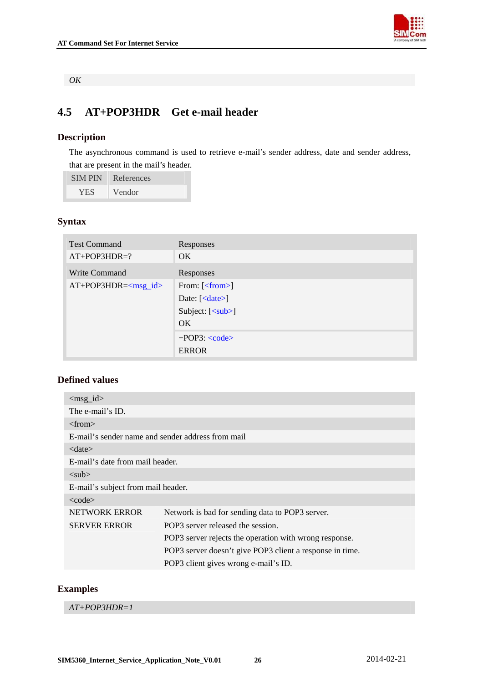

*OK* 

## **4.5 AT+POP3HDR Get e-mail header**

## **Description**

The asynchronous command is used to retrieve e-mail's sender address, date and sender address, that are present in the mail's header.

SIM PIN References

YES Vendor

## **Syntax**

| <b>Test Command</b>      | Responses                                 |
|--------------------------|-------------------------------------------|
| $AT+POP3HDR=?$           | OK.                                       |
| Write Command            | Responses                                 |
| $AT+POP3HDR=<$ $msg_id>$ | From: $\lfloor$ $\leq$ from $>$ $\rfloor$ |
|                          | Date: $\left[ < \text{date} \right]$      |
|                          | Subject: $[\langle sub \rangle]$          |
|                          | OK.                                       |
|                          | $+POP3$ : $<$ code>                       |
|                          | <b>ERROR</b>                              |

## **Defined values**

| $\langle \text{msg}_id \rangle$                   |                                                          |
|---------------------------------------------------|----------------------------------------------------------|
| The e-mail's ID.                                  |                                                          |
| $<$ from $>$                                      |                                                          |
| E-mail's sender name and sender address from mail |                                                          |
| $<$ date $>$                                      |                                                          |
| E-mail's date from mail header.                   |                                                          |
| $sub>$                                            |                                                          |
| E-mail's subject from mail header.                |                                                          |
| $<$ code $>$                                      |                                                          |
| <b>NETWORK ERROR</b>                              | Network is bad for sending data to POP3 server.          |
| <b>SERVER ERROR</b>                               | POP3 server released the session.                        |
|                                                   | POP3 server rejects the operation with wrong response.   |
|                                                   | POP3 server doesn't give POP3 client a response in time. |
|                                                   | POP3 client gives wrong e-mail's ID.                     |

## **Examples**

*AT+POP3HDR=1*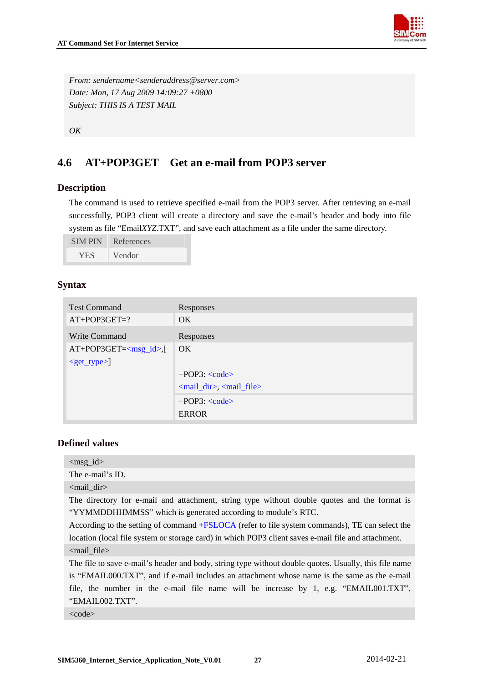

<span id="page-27-0"></span>*From: sendername<senderaddress@server.com> Date: Mon, 17 Aug 2009 14:09:27 +0800 Subject: THIS IS A TEST MAIL* 

*OK* 

## **4.6 AT+POP3GET Get an e-mail from POP3 server**

#### **Description**

The command is used to retrieve specified e-mail from the POP3 server. After retrieving an e-mail successfully, POP3 client will create a directory and save the e-mail's header and body into file system as file "Email*XYZ*.TXT", and save each attachment as a file under the same directory.

| <b>SIMPIN</b> | References |
|---------------|------------|
| <b>YES</b>    | Vendor     |

#### **Syntax**

| <b>Test Command</b>     | Responses                           |
|-------------------------|-------------------------------------|
| $AT+POP3GET=?$          | OK.                                 |
| Write Command           | Responses                           |
| $AT+POP3GET=[]$         | OK.                                 |
| $\leq$ get_type $>\n$ ] |                                     |
|                         | $+POP3: code>$                      |
|                         | $\leq$ mail_dir>, $\leq$ mail_file> |
|                         | $+POP3: code>$                      |
|                         | <b>ERROR</b>                        |

## **Defined values**

<msg\_id>

The e-mail's ID.

<mail\_dir>

The directory for e-mail and attachment, string type without double quotes and the format is "YYMMDDHHMMSS" which is generated according to module's RTC.

According to the setting of command +FSLOCA (refer to file system commands), TE can select the location (local file system or storage card) in which POP3 client saves e-mail file and attachment. <mail\_file>

The file to save e-mail's header and body, string type without double quotes. Usually, this file name is "EMAIL000.TXT", and if e-mail includes an attachment whose name is the same as the e-mail file, the number in the e-mail file name will be increase by 1, e.g. "EMAIL001.TXT", "EMAIL002.TXT".

<code></code>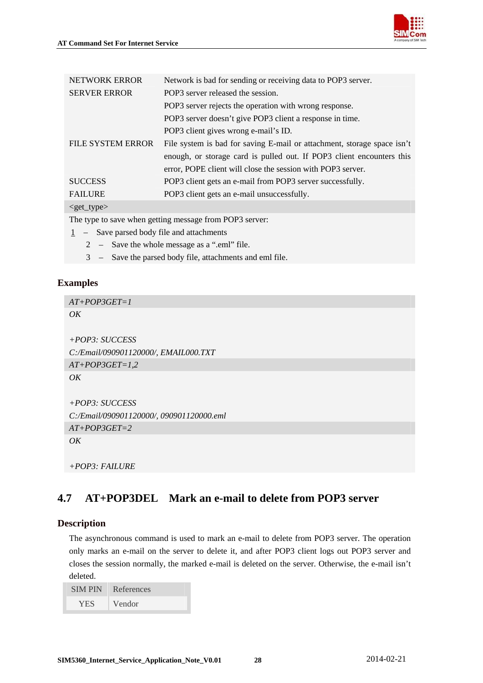<span id="page-28-0"></span>

| <b>NETWORK ERROR</b>     | Network is bad for sending or receiving data to POP3 server.            |
|--------------------------|-------------------------------------------------------------------------|
| <b>SERVER ERROR</b>      | POP3 server released the session.                                       |
|                          | POP3 server rejects the operation with wrong response.                  |
|                          | POP3 server doesn't give POP3 client a response in time.                |
|                          | POP3 client gives wrong e-mail's ID.                                    |
| <b>FILE SYSTEM ERROR</b> | File system is bad for saving E-mail or attachment, storage space isn't |
|                          | enough, or storage card is pulled out. If POP3 client encounters this   |
|                          | error, POPE client will close the session with POP3 server.             |
| <b>SUCCESS</b>           | POP3 client gets an e-mail from POP3 server successfully.               |
| <b>FAILURE</b>           | POP3 client gets an e-mail unsuccessfully.                              |
| $<$ get type $>$         |                                                                         |

The type to save when getting message from POP3 server:

- 1 Save parsed body file and attachments
	- 2 Save the whole message as a ".eml" file.
	- 3 Save the parsed body file, attachments and eml file.

## **Examples**

*AT+POP3GET=1 OK +POP3: SUCCESS C:/Email/090901120000/, EMAIL000.TXT AT+POP3GET=1,2 OK +POP3: SUCCESS C:/Email/090901120000/, 090901120000.eml AT+POP3GET=2 OK* 

## **4.7 AT+POP3DEL Mark an e-mail to delete from POP3 server**

## **Description**

The asynchronous command is used to mark an e-mail to delete from POP3 server. The operation only marks an e-mail on the server to delete it, and after POP3 client logs out POP3 server and closes the session normally, the marked e-mail is deleted on the server. Otherwise, the e-mail isn't deleted.

| <b>SIMPIN</b> | References          |
|---------------|---------------------|
| <b>YES</b>    | Vendor <sup>1</sup> |

*<sup>+</sup>POP3: FAILURE*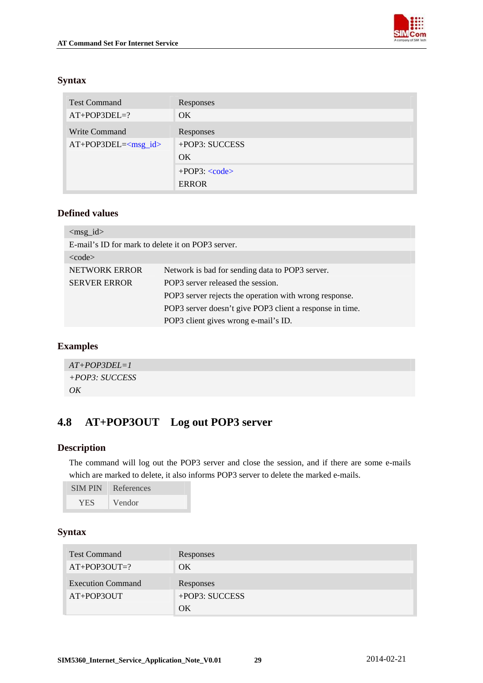

## <span id="page-29-0"></span>**Syntax**

| <b>Test Command</b>      | Responses           |
|--------------------------|---------------------|
| $AT+POP3DEL=?$           | <b>OK</b>           |
| Write Command            | Responses           |
| $AT+POP3DEL=<$ $msg_id>$ | +POP3: SUCCESS      |
|                          | OK.                 |
|                          | $+POP3$ : $<$ code> |
|                          | <b>ERROR</b>        |

## **Defined values**

| $\langle \text{msg}_id \rangle$                   |                                                          |
|---------------------------------------------------|----------------------------------------------------------|
| E-mail's ID for mark to delete it on POP3 server. |                                                          |
| $<$ code $>$                                      |                                                          |
| NETWORK ERROR                                     | Network is bad for sending data to POP3 server.          |
| <b>SERVER ERROR</b>                               | POP3 server released the session.                        |
|                                                   | POP3 server rejects the operation with wrong response.   |
|                                                   | POP3 server doesn't give POP3 client a response in time. |
|                                                   | POP3 client gives wrong e-mail's ID.                     |

## **Examples**

| $AT+POP3DEL=1$   |  |
|------------------|--|
| $+POP3: SUCCESS$ |  |
| OK               |  |

## **4.8 AT+POP3OUT Log out POP3 server**

## **Description**

The command will log out the POP3 server and close the session, and if there are some e-mails which are marked to delete, it also informs POP3 server to delete the marked e-mails.

| <b>SIMPIN</b> | References |
|---------------|------------|
| <b>YES</b>    | Vendor     |

| <b>Test Command</b>      | Responses      |
|--------------------------|----------------|
| $AT+POP3OUT=?$           | OK             |
| <b>Execution Command</b> | Responses      |
| AT+POP3OUT               | +POP3: SUCCESS |
|                          | ОK             |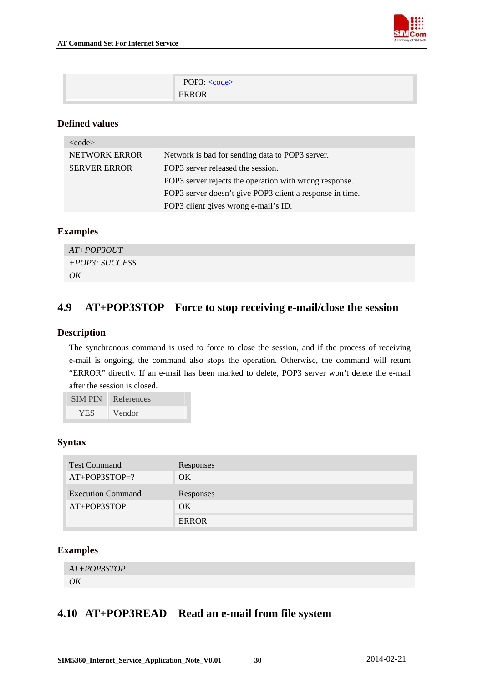

<span id="page-30-0"></span>

| $+POP3: code>$ |
|----------------|
| <b>ERROR</b>   |

| $<$ code $>$         |                                                          |
|----------------------|----------------------------------------------------------|
| <b>NETWORK ERROR</b> | Network is bad for sending data to POP3 server.          |
| <b>SERVER ERROR</b>  | POP3 server released the session.                        |
|                      | POP3 server rejects the operation with wrong response.   |
|                      | POP3 server doesn't give POP3 client a response in time. |
|                      | POP3 client gives wrong e-mail's ID.                     |

## **Examples**

| $AT+POP3OUT$     |  |
|------------------|--|
| $+POP3: SUCCESS$ |  |
| OK               |  |

## **4.9 AT+POP3STOP Force to stop receiving e-mail/close the session**

## **Description**

The synchronous command is used to force to close the session, and if the process of receiving e-mail is ongoing, the command also stops the operation. Otherwise, the command will return "ERROR" directly. If an e-mail has been marked to delete, POP3 server won't delete the e-mail after the session is closed.

| <b>SIMPIN</b> | References |
|---------------|------------|
| <b>YES</b>    | Vendor     |

## **Syntax**

| <b>Test Command</b>      | Responses    |
|--------------------------|--------------|
| $AT+POP3STOP=?$          | OK           |
| <b>Execution Command</b> | Responses    |
| AT+POP3STOP              | OK           |
|                          | <b>ERROR</b> |

## **Examples**

```
AT+POP3STOP 
OK
```
## **4.10 AT+POP3READ Read an e-mail from file system**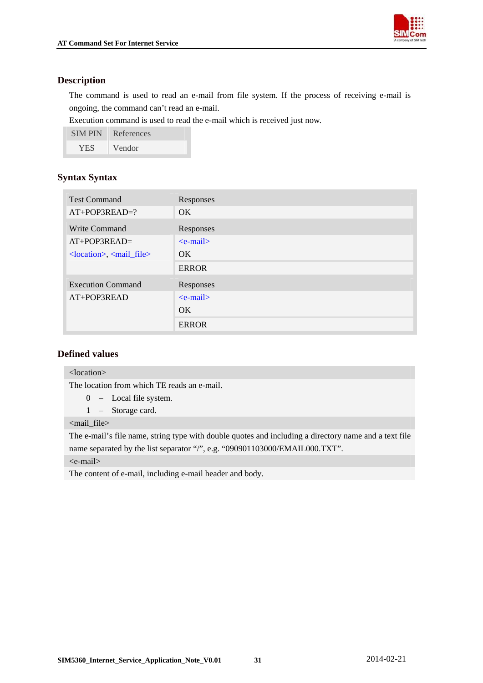

## **Description**

The command is used to read an e-mail from file system. If the process of receiving e-mail is ongoing, the command can't read an e-mail.

Execution command is used to read the e-mail which is received just now.

| <b>SIMPIN</b> | References |
|---------------|------------|
| YES           | Vendor     |

## **Syntax Syntax**

| <b>Test Command</b>                                                                  | Responses     |
|--------------------------------------------------------------------------------------|---------------|
| AT+POP3READ=?                                                                        | OK.           |
| Write Command                                                                        | Responses     |
| $AT+POP3READ=$                                                                       | $\le$ e-mail> |
| $\alpha$ <location>, <math>\alpha</math> and <math>\alpha</math> file&gt;</location> | OK.           |
|                                                                                      | <b>ERROR</b>  |
| <b>Execution Command</b>                                                             | Responses     |
| AT+POP3READ                                                                          | $\le$ e-mail> |
|                                                                                      | OK.           |
|                                                                                      | <b>ERROR</b>  |

## **Defined values**

#### <location>

The location from which TE reads an e-mail.

- 0 Local file system.
- 1 Storage card.

<mail\_file>

The e-mail's file name, string type with double quotes and including a directory name and a text file name separated by the list separator "/", e.g. "090901103000/EMAIL000.TXT".

<e-mail>

The content of e-mail, including e-mail header and body.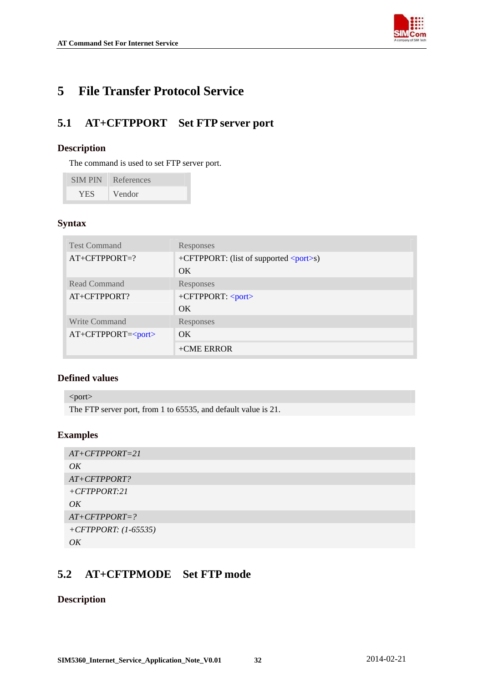

## <span id="page-32-0"></span>**5 File Transfer Protocol Service**

## **5.1 AT+CFTPPORT Set FTP server port**

#### **Description**

The command is used to set FTP server port.

| <b>SIMPIN</b> | References          |
|---------------|---------------------|
| YES.          | Vendor <sup>1</sup> |

## **Syntax**

| <b>Test Command</b>  | Responses                                       |
|----------------------|-------------------------------------------------|
| $AT+CFTPPORT=?$      | +CFTPPORT: (list of supported $\langle$ port>s) |
|                      | OK.                                             |
| Read Command         | <b>Responses</b>                                |
| AT+CFTPPORT?         | $+CFTPPORT: < port>$                            |
|                      | OK.                                             |
| Write Command        | Responses                                       |
| $AT+CFTPPORT = port$ | OK.                                             |
|                      | $+$ CME ERROR                                   |

## **Defined values**

<port> The FTP server port, from 1 to 65535, and default value is 21.

#### **Examples**

| $AT+CFTPPORT=21$       |
|------------------------|
| OK                     |
| $AT+CFTPPORT?$         |
| $+CFTPORT:21$          |
| OK                     |
| $AT+CFTPPORT=?$        |
| +CFTPPORT: $(1-65535)$ |
| OK                     |

## **5.2 AT+CFTPMODE Set FTP mode**

## **Description**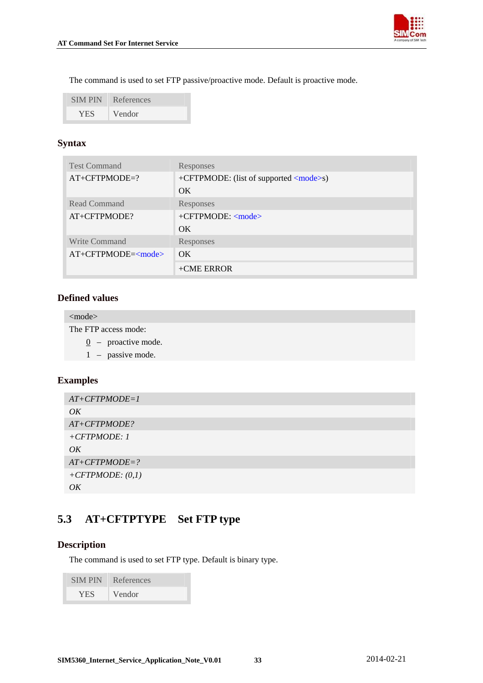

<span id="page-33-0"></span>The command is used to set FTP passive/proactive mode. Default is proactive mode.

| <b>SIM PIN</b> | References |
|----------------|------------|
| <b>YES</b>     | Vendor     |

## **Syntax**

| <b>Test Command</b>                | Responses                                     |
|------------------------------------|-----------------------------------------------|
| $AT+CFTPMODE=?$                    | +CFTPMODE: (list of supported <mode>s)</mode> |
|                                    | OK.                                           |
| Read Command                       | Responses                                     |
| AT+CFTPMODE?                       | +CFTPMODE: <mode></mode>                      |
|                                    | OK.                                           |
| Write Command                      | Responses                                     |
| $AT+CFTPMODE=\langle mode \rangle$ | $\overline{\text{OK}}$                        |
|                                    | $+$ CME ERROR                                 |

## **Defined values**

<mode>

The FTP access mode:

- 0 proactive mode.
- 1 passive mode.

## **Examples**

```
AT+CFTPMODE=1 
OK 
AT+CFTPMODE? 
+CFTPMODE: 1 
\overline{OK}AT+CFTPMODE=? 
+CFTPMODE: (0,1) 
OK
```
## **5.3 AT+CFTPTYPE Set FTP type**

## **Description**

The command is used to set FTP type. Default is binary type.

| <b>SIMPIN</b> | References |
|---------------|------------|
| YES.          | Vendor     |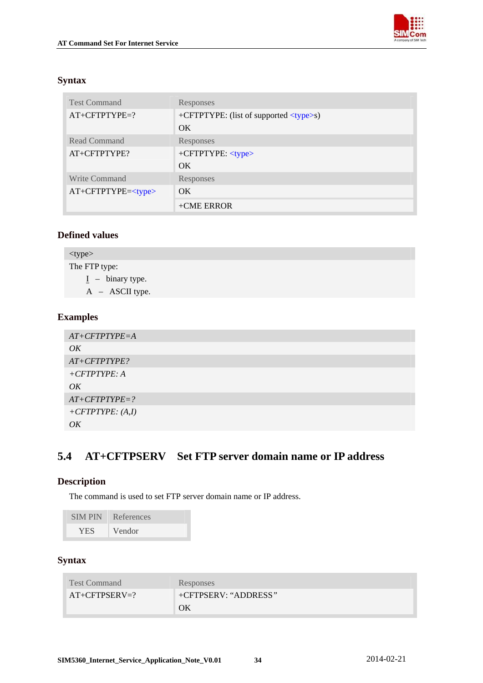

## <span id="page-34-0"></span>**Syntax**

| <b>Test Command</b> | Responses                                     |
|---------------------|-----------------------------------------------|
| $AT+CFTPTYPE=?$     | +CFTPTYPE: (list of supported <type>s)</type> |
|                     | $\overline{\text{OK}}$                        |
| Read Command        | Responses                                     |
| $AT+CFTPTYPE?$      | $+CFTPTYPE: type$                             |
|                     | $\overline{\text{OK}}$                        |
| Write Command       | <b>Responses</b>                              |
| $AT+CFTPTYPE=$      | $\overline{\text{OK}}$                        |
|                     | $+$ CME ERROR                                 |

## **Defined values**

| $<$ type $>$       |  |  |
|--------------------|--|--|
| The FTP type:      |  |  |
| $I - binary type.$ |  |  |
| $A - ASCII$ type.  |  |  |
|                    |  |  |

## **Examples**

| $AT+CFTPTYPE = A$   |
|---------------------|
| OK                  |
| $AT+CFTPTYPE?$      |
| $+ CFTPTYPE: A$     |
| OK                  |
| $AT+CFTPTYPE=?$     |
| $+ CFTPTYPE: (A,I)$ |
| OK                  |

## **5.4 AT+CFTPSERV Set FTP server domain name or IP address**

## **Description**

The command is used to set FTP server domain name or IP address.

| <b>SIMPIN</b> | References |
|---------------|------------|
| <b>YES</b>    | Vendor     |

| <b>Test Command</b> | <b>Responses</b>     |
|---------------------|----------------------|
| $AT+CFTPSERV=?$     | +CFTPSERV: "ADDRESS" |
|                     | ΟK                   |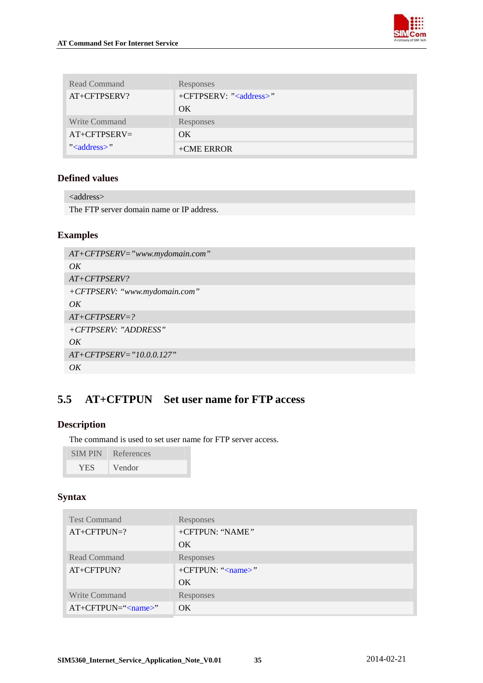

<span id="page-35-0"></span>

| Read Command                   | Responses                         |
|--------------------------------|-----------------------------------|
| AT+CFTPSERV?                   | +CFTPSERV: " <address>"</address> |
|                                | OK.                               |
| Write Command                  | Responses                         |
| $AT+CFTPSERV=$                 | OK.                               |
| $\degree$ <address>"</address> | $+$ CME ERROR                     |

| $\langle$ address $\rangle$               |  |
|-------------------------------------------|--|
| The FTP server domain name or IP address. |  |

## **Examples**

```
AT+CFTPSERV="www.mydomain.com" 
OK 
AT+CFTPSERV? 
+CFTPSERV: "www.mydomain.com" 
OK 
AT+CFTPSERV=? 
+CFTPSERV: "ADDRESS" 
OK 
AT+CFTPSERV="10.0.0.127" 
OK
```
## **5.5 AT+CFTPUN Set user name for FTP access**

## **Description**

The command is used to set user name for FTP server access.

| <b>SIMPIN</b> | References |
|---------------|------------|
| <b>YES</b>    | Vendor     |

| <b>Test Command</b>        | Responses                 |
|----------------------------|---------------------------|
| $AT+CFTPUN=?$              | +CFTPUN: "NAME"           |
|                            | OK.                       |
| Read Command               | Responses                 |
| AT+CFTPUN?                 | +CFTPUN: " <name>"</name> |
|                            | OK.                       |
| <b>Write Command</b>       | Responses                 |
| AT+CFTPUN=" <name>"</name> | OK.                       |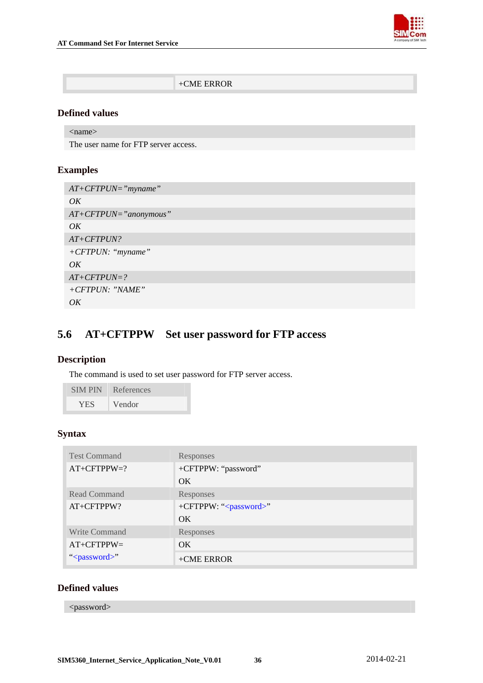

| $+$ CME ERROR |
|---------------|
|               |

<span id="page-36-0"></span><name>

The user name for FTP server access.

## **Examples**

| $AT+CFTPUN="myname"$    |
|-------------------------|
| OK                      |
| $AT+CFTPUN="anonymous"$ |
| OK                      |
| $AT+CFTPUN?$            |
| $+ CFTPUN:$ "myname"    |
| OK                      |
| $AT+CFTPUN=?$           |
| $+CFTPUN: "NAME"$       |
| OK                      |

## **5.6 AT+CFTPPW Set user password for FTP access**

## **Description**

The command is used to set user password for FTP server access.

| <b>SIM PIN</b> | References |
|----------------|------------|
| <b>YES</b>     | Vendor     |

## **Syntax**

| <b>Test Command</b>      | Responses                         |
|--------------------------|-----------------------------------|
| $AT+CFTPPW=?$            | +CFTPPW: "password"               |
|                          | OK.                               |
| <b>Read Command</b>      | Responses                         |
| AT+CFTPPW?               | +CFTPPW: " <password>"</password> |
|                          | OK.                               |
| <b>Write Command</b>     | Responses                         |
| $AT+CFTPPW=$             | OK.                               |
| " <password>"</password> | $+$ CME ERROR                     |

## **Defined values**

<password>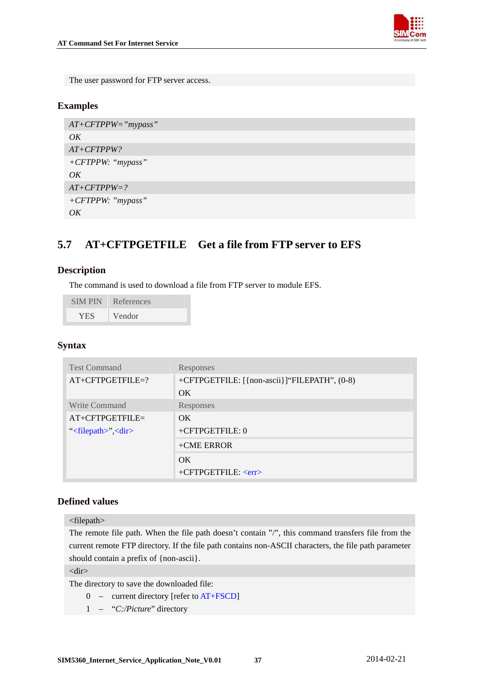

<span id="page-37-0"></span>The user password for FTP server access.

## **Examples**

```
AT+CFTPPW="mypass" 
OK 
AT+CFTPPW? 
+CFTPPW: "mypass" 
OKAT+CFTPPW=? 
+CFTPPW: "mypass" 
OK
```
## **5.7 AT+CFTPGETFILE Get a file from FTP server to EFS**

## **Description**

The command is used to download a file from FTP server to module EFS.

| <b>SIMPIN</b> | References |
|---------------|------------|
| <b>YES</b>    | Vendor     |

## **Syntax**

| <b>Test Command</b>                    | Responses                                    |
|----------------------------------------|----------------------------------------------|
| AT+CFTPGETFILE=?                       | +CFTPGETFILE: [{non-ascii}]"FILEPATH", (0-8) |
|                                        | $\alpha$                                     |
| Write Command                          | Responses                                    |
| $AT+CFTPGETFILE=$                      | OK.                                          |
| " $\langle$ filepath>", $\langle$ dir> | +CFTPGETFILE: 0                              |
|                                        | $+$ CME ERROR                                |
|                                        | OK.                                          |
|                                        | $+CFTPGETFILE: $                             |

## **Defined values**

<filepath>

The remote file path. When the file path doesn't contain "/", this command transfers file from the current remote FTP directory. If the file path contains non-ASCII characters, the file path parameter should contain a prefix of {non-ascii}.

<dir>

The directory to save the downloaded file:

- 0 current directory [refer to AT+FSCD]
- 1 "*C:/Picture*" directory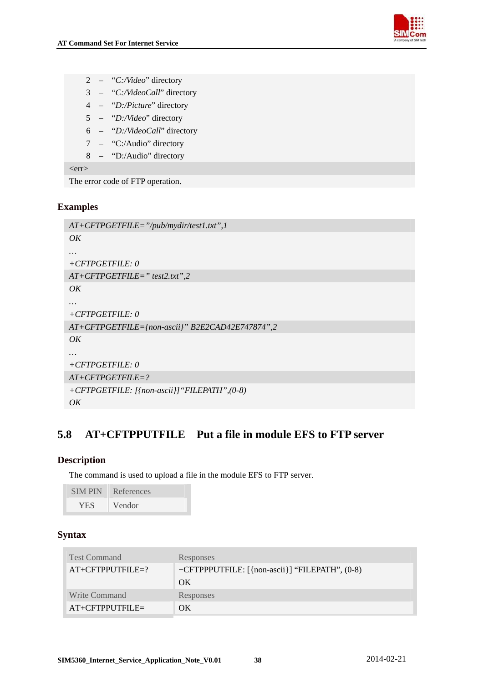<span id="page-38-0"></span>



| $\overline{c}$ | "C:/Video" directory |  |
|----------------|----------------------|--|
|                |                      |  |

- 3 "*C:/VideoCall*" directory
- 4 "*D:/Picture*" directory
- 5 "*D:/Video*" directory
- 6 "*D:/VideoCall*" directory
- 7 "C:/Audio" directory
- 8 "D:/Audio" directory

 $<$ err $>$ 

The error code of FTP operation.

## **Examples**

```
AT+CFTPGETFILE="/pub/mydir/test1.txt",1 
OK 
… 
+CFTPGETFILE: 0 
AT+CFTPGETFILE=" test2.txt",2 
OK 
… 
+CFTPGETFILE: 0 
AT+CFTPGETFILE={non-ascii}" B2E2CAD42E747874",2 
OK 
… 
+CFTPGETFILE: 0 
AT+CFTPGETFILE=? 
+CFTPGETFILE: [{non-ascii}]"FILEPATH",(0-8) 
OK
```
## **5.8 AT+CFTPPUTFILE Put a file in module EFS to FTP server**

## **Description**

The command is used to upload a file in the module EFS to FTP server.

| <b>SIM PIN</b> | References |
|----------------|------------|
| <b>YES</b>     | Vendor     |

| <b>Test Command</b> | Responses                                      |
|---------------------|------------------------------------------------|
| $AT+CFTPPUTFILE=?$  | +CFTPPPUTFILE: [{non-ascii}] "FILEPATH", (0-8) |
|                     | OK                                             |
| Write Command       | Responses                                      |
| $AT+CFTPPUTFILE=$   | OK                                             |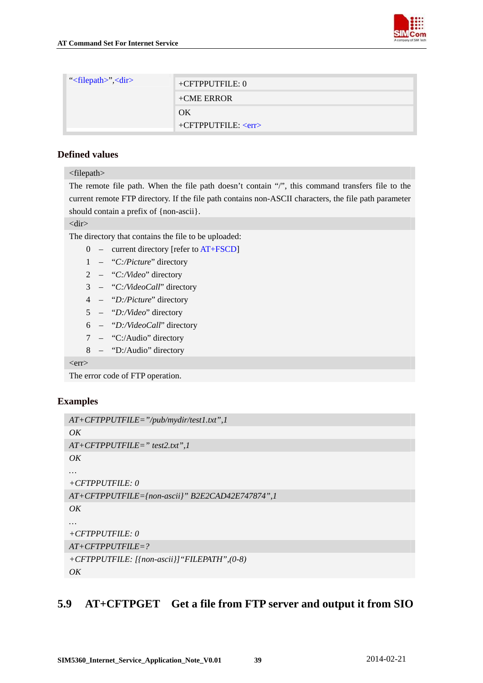

<span id="page-39-0"></span>

| " $\langle$ filepath>", $\langle$ dir>" | $+CFTPPUTFILE: 0$ |
|-----------------------------------------|-------------------|
|                                         | $+$ CME ERROR     |
|                                         | OK                |
|                                         | $+CFTPPUTFILE: $  |

#### <filepath>

The remote file path. When the file path doesn't contain "/", this command transfers file to the current remote FTP directory. If the file path contains non-ASCII characters, the file path parameter should contain a prefix of {non-ascii}.

<dir>

The directory that contains the file to be uploaded:

- 0 current directory [refer to AT+FSCD]
- 1 "*C:/Picture*" directory
- 2 "*C:/Video*" directory
- 3 "*C:/VideoCall*" directory
- 4 "*D:/Picture*" directory
- 5 "*D:/Video*" directory
- 6 "*D:/VideoCall*" directory
- 7 "C:/Audio" directory
- 8 "D:/Audio" directory

 $<$ err $>$ 

The error code of FTP operation.

## **Examples**

```
AT+CFTPPUTFILE="/pub/mydir/test1.txt",1 
OK 
AT+CFTPPUTFILE=" test2.txt",1 
OK 
+CFTPPUTFILE: 0 
AT+CFTPPUTFILE={non-ascii}" B2E2CAD42E747874",1 
OK 
+CFTPPUTFILE: 0 
AT+CFTPPUTFILE=? 
+CFTPPUTFILE: [{non-ascii}]"FILEPATH",(0-8) 
OK
```
## **5.9 AT+CFTPGET Get a file from FTP server and output it from SIO**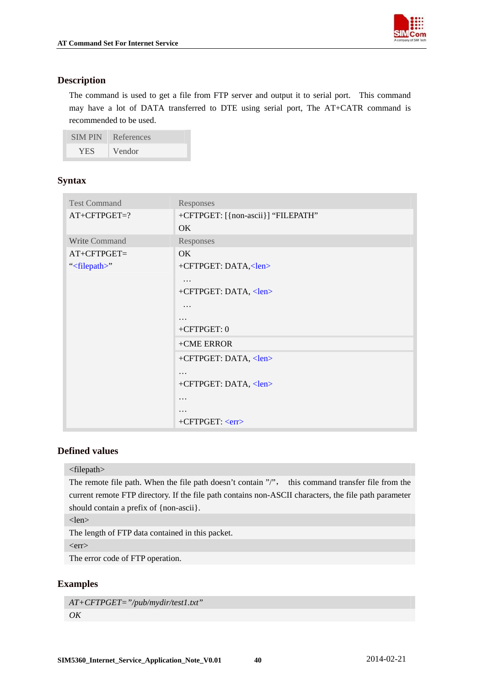

## <span id="page-40-0"></span>**Description**

The command is used to get a file from FTP server and output it to serial port. This command may have a lot of DATA transferred to DTE using serial port, The AT+CATR command is recommended to be used.

| <b>SIMPIN</b> | References |
|---------------|------------|
| <b>YES</b>    | Vendor     |

## **Syntax**

| <b>Test Command</b>      | Responses                          |
|--------------------------|------------------------------------|
| AT+CFTPGET=?             | +CFTPGET: [{non-ascii}] "FILEPATH" |
|                          | OK                                 |
| Write Command            | Responses                          |
| $AT+CFTPGET=$            | OK                                 |
| " <filepath>"</filepath> | +CFTPGET: DATA, <len></len>        |
|                          | .                                  |
|                          | +CFTPGET: DATA, <len></len>        |
|                          | .                                  |
|                          | .                                  |
|                          | $+CFTPGET:0$                       |
|                          | +CME ERROR                         |
|                          | +CFTPGET: DATA, <len></len>        |
|                          | $\cdots$                           |
|                          | +CFTPGET: DATA, <len></len>        |
|                          | .                                  |
|                          | $\ddot{\phantom{0}}$               |
|                          | +CFTPGET: <err></err>              |

## **Defined values**

#### <filepath>

The remote file path. When the file path doesn't contain "/", this command transfer file from the current remote FTP directory. If the file path contains non-ASCII characters, the file path parameter should contain a prefix of {non-ascii}.

<len>

The length of FTP data contained in this packet.

 $<$ err $>$ 

The error code of FTP operation.

## **Examples**

```
AT+CFTPGET="/pub/mydir/test1.txt" 
OK
```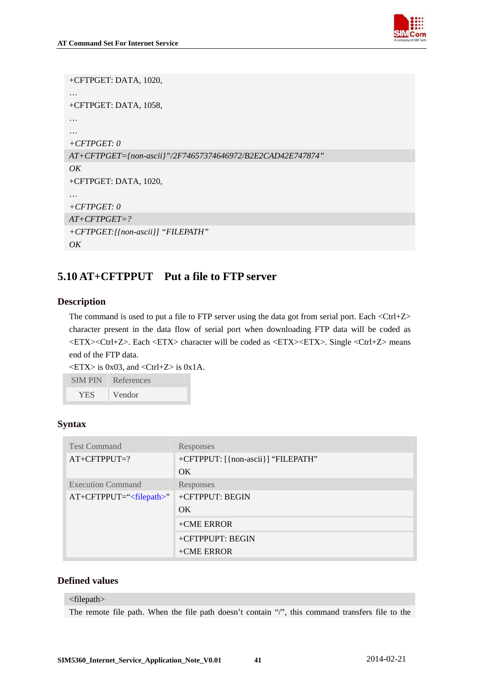

```
+CFTPGET: DATA, 1020, 
… 
+CFTPGET: DATA, 1058, 
… 
… 
+CFTPGET: 0 
AT+CFTPGET={non-ascii}"/2F74657374646972/B2E2CAD42E747874" 
OK 
+CFTPGET: DATA, 1020, 
… 
+CFTPGET: 0 
AT+CFTPGET=? 
+CFTPGET:[{non-ascii}] "FILEPATH" 
OK
```
## **5.10 AT+CFTPPUT Put a file to FTP server**

## **Description**

The command is used to put a file to FTP server using the data got from serial port. Each <Ctrl+Z> character present in the data flow of serial port when downloading FTP data will be coded as <ETX><Ctrl+Z>. Each <ETX> character will be coded as <ETX><ETX>. Single <Ctrl+Z> means end of the FTP data.

 $\langle ETX \rangle$  is 0x03, and  $\langle Ctr1+Z \rangle$  is 0x1A.

| <b>SIMPIN</b> | References |
|---------------|------------|
| <b>YES</b>    | Vendor     |

## **Syntax**

| <b>Test Command</b>      | Responses                          |
|--------------------------|------------------------------------|
| $AT+CFTPPUT=?$           | +CFTPPUT: [{non-ascii}] "FILEPATH" |
|                          | OK.                                |
| <b>Execution Command</b> | Responses                          |
| $AT+CFTPPUT=``$          | +CFTPPUT: BEGIN                    |
|                          | OK.                                |
|                          | $+$ CME ERROR                      |
|                          | +CFTPPUPT: BEGIN                   |
|                          | $+$ CME ERROR                      |

## **Defined values**

#### <filepath>

The remote file path. When the file path doesn't contain "/", this command transfers file to the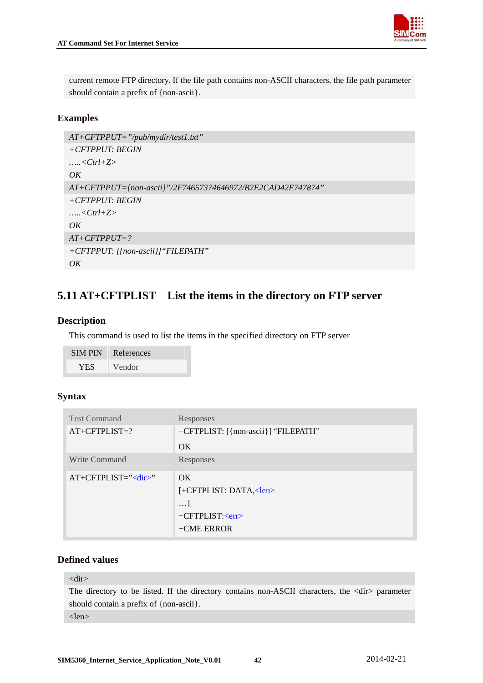

<span id="page-42-0"></span>current remote FTP directory. If the file path contains non-ASCII characters, the file path parameter should contain a prefix of {non-ascii}.

## **Examples**

```
AT+CFTPPUT="/pub/mydir/test1.txt" 
+CFTPPUT: BEGIN 
…..<Ctrl+Z> 
OKAT+CFTPPUT={non-ascii}"/2F74657374646972/B2E2CAD42E747874" 
+CFTPPUT: BEGIN 
…..<Ctrl+Z> 
OK 
AT+CFTPPUT=? 
+CFTPPUT: [{non-ascii}]"FILEPATH" 
OK
```
## **5.11 AT+CFTPLIST List the items in the directory on FTP server**

## **Description**

This command is used to list the items in the specified directory on FTP server

| <b>SIM PIN</b> | References |
|----------------|------------|
| YES.           | Vendor     |

## **Syntax**

| <b>Test Command</b>  | Responses                           |
|----------------------|-------------------------------------|
| $AT+CFTPLIST=?$      | +CFTPLIST: [{non-ascii}] "FILEPATH" |
|                      | OK.                                 |
| <b>Write Command</b> | Responses                           |
| $AT+CFTPLIST="'$     | OK.                                 |
|                      | $[-CFTPLIST: DATA, $                |
|                      | $\ldots$                            |
|                      | $+CFTPLIST: $                       |
|                      | $+$ CME ERROR                       |

## **Defined values**

#### <dir>

The directory to be listed. If the directory contains non-ASCII characters, the <dir> parameter should contain a prefix of {non-ascii}.

#### <len>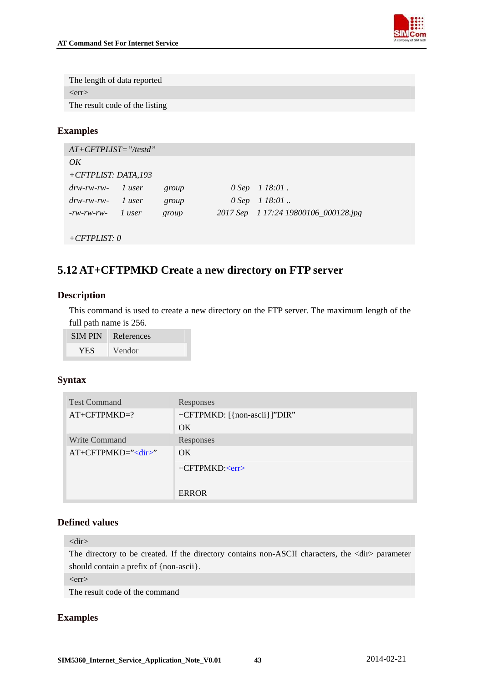

<span id="page-43-0"></span>The length of data reported  $<$ err $>$ The result code of the listing

**Examples** 

| $AT+CFTPLIST="testd"$                                         |        |       |                                      |
|---------------------------------------------------------------|--------|-------|--------------------------------------|
| OK                                                            |        |       |                                      |
| +CFTPLIST: DATA,193                                           |        |       |                                      |
| $\frac{d\mathbf{w}}{d\mathbf{w}}$ -rw- $\frac{1}{\mathbf{w}}$ |        | group | $0$ Sep $1$ 18:01.                   |
| $drw$ -rw-rw-                                                 | l user | group | $0$ Sep $1$ 18:01.                   |
| $-rw$ - $rw$ - $rw$ -                                         | l user | group | 2017 Sep 1 17:24 19800106_000128.jpg |
|                                                               |        |       |                                      |

*+CFTPLIST: 0*

## **5.12 AT+CFTPMKD Create a new directory on FTP server**

## **Description**

This command is used to create a new directory on the FTP server. The maximum length of the full path name is 256.

| <b>SIMPIN</b> | References |
|---------------|------------|
| YES.          | Vendor     |

## **Syntax**

| <b>Test Command</b> | Responses                    |
|---------------------|------------------------------|
| $AT+CFTPMKD=?$      | +CFTPMKD: [{non-ascii}]"DIR" |
|                     | OK.                          |
| Write Command       | Responses                    |
| $AT+CFTPMKD=''$     | OK.                          |
|                     | $+CFTPMKD: $                 |
|                     | <b>ERROR</b>                 |

## **Defined values**

<dir>

The directory to be created. If the directory contains non-ASCII characters, the <dir> parameter should contain a prefix of {non-ascii}.

 $<$ err $>$ 

The result code of the command

## **Examples**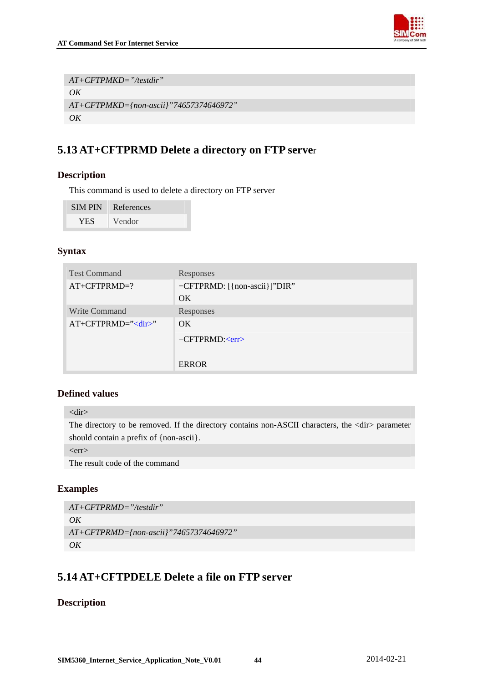

<span id="page-44-0"></span>*AT+CFTPMKD="/testdir" OK AT+CFTPMKD={non-ascii}"74657374646972" OK* 

## **5.13 AT+CFTPRMD Delete a directory on FTP serve**r

## **Description**

This command is used to delete a directory on FTP server

| <b>SIM PIN</b> | References |
|----------------|------------|
| <b>YES</b>     | Vendor     |

## **Syntax**

| <b>Test Command</b> | Responses                    |
|---------------------|------------------------------|
| $AT+CFTPRMD=?$      | +CFTPRMD: [{non-ascii}]"DIR" |
|                     | OK.                          |
| Write Command       | Responses                    |
| $AT+CFTPRMD="'$     | OK.                          |
|                     | $+CFTPRMD: $                 |
|                     |                              |
|                     | <b>ERROR</b>                 |

## **Defined values**

<dir>

The directory to be removed. If the directory contains non-ASCII characters, the <dir> parameter should contain a prefix of {non-ascii}.

 $<$ err $>$ 

The result code of the command

## **Examples**

```
AT+CFTPRMD="/testdir" 
OK
AT+CFTPRMD={non-ascii}"74657374646972" 
OK
```
## **5.14 AT+CFTPDELE Delete a file on FTP server**

## **Description**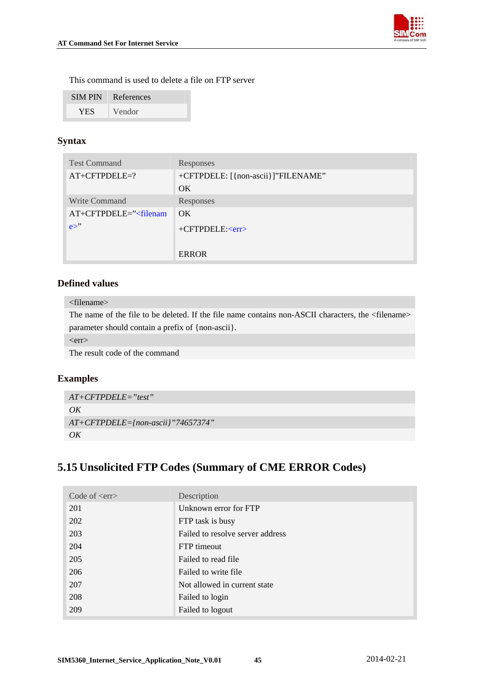

<span id="page-45-0"></span>This command is used to delete a file on FTP server

| <b>SIMPIN</b> | References |
|---------------|------------|
| YES.          | Vendor     |

## **Syntax**

| <b>Test Command</b>        | Responses                          |
|----------------------------|------------------------------------|
| $AT+CFTPDELE=?$            | +CFTPDELE: [{non-ascii}]"FILENAME" |
|                            | OK.                                |
| Write Command              | Responses                          |
| $AT+CFTPDELE='\\ filename$ | OK.                                |
| $e^{\gamma}$               | $+CFTPDELE: $                      |
|                            |                                    |
|                            | <b>ERROR</b>                       |

## **Defined values**

#### <filename>

The name of the file to be deleted. If the file name contains non-ASCII characters, the <filename> parameter should contain a prefix of {non-ascii}.

 $<$ err $>$ 

The result code of the command

## **Examples**

```
AT+CFTPDELE="test" 
OK
AT+CFTPDELE={non-ascii}"74657374" 
OK
```
## **5.15 Unsolicited FTP Codes (Summary of CME ERROR Codes)**

| Code of $\langle$ err $\rangle$ | Description                      |
|---------------------------------|----------------------------------|
| 201                             | Unknown error for FTP            |
| 202                             | FTP task is busy                 |
| 203                             | Failed to resolve server address |
| 204                             | <b>FTP</b> timeout               |
| 205                             | Failed to read file              |
| 206                             | Failed to write file             |
| 207                             | Not allowed in current state     |
| 208                             | Failed to login                  |
| 209                             | Failed to logout                 |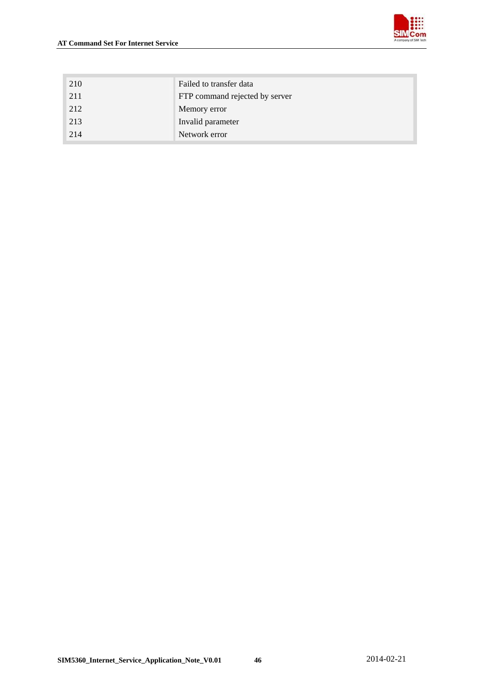

| 210 | Failed to transfer data        |
|-----|--------------------------------|
| 211 | FTP command rejected by server |
| 212 | Memory error                   |
| 213 | Invalid parameter              |
| 214 | Network error                  |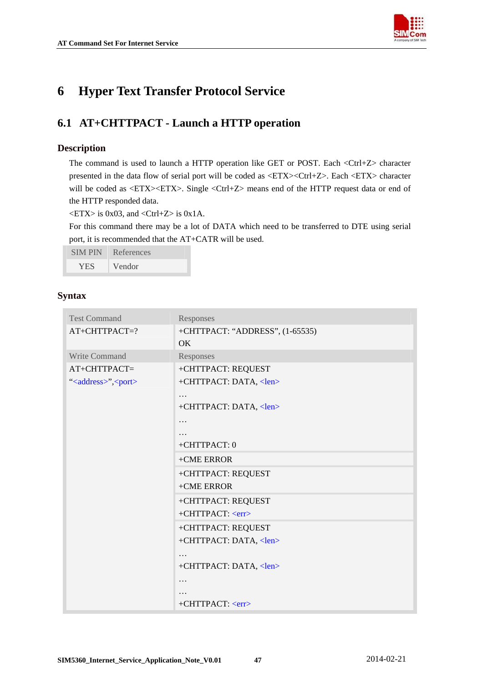

## <span id="page-47-0"></span>**6 Hyper Text Transfer Protocol Service**

## **6.1 AT+CHTTPACT - Launch a HTTP operation**

## **Description**

The command is used to launch a HTTP operation like GET or POST. Each <Ctrl+Z> character presented in the data flow of serial port will be coded as <ETX><Ctrl+Z>. Each <ETX> character will be coded as <ETX><ETX>. Single <Ctrl+Z> means end of the HTTP request data or end of the HTTP responded data.

 $\langle ETX \rangle$  is 0x03, and  $\langle Ctr1+Z \rangle$  is 0x1A.

For this command there may be a lot of DATA which need to be transferred to DTE using serial port, it is recommended that the AT+CATR will be used.

SIM PIN References

YES Vendor

| <b>Test Command</b>                  | Responses                       |
|--------------------------------------|---------------------------------|
| AT+CHTTPACT=?                        | +CHTTPACT: "ADDRESS", (1-65535) |
|                                      | OK                              |
| Write Command                        | Responses                       |
| AT+CHTTPACT=                         | +CHTTPACT: REQUEST              |
| " <address>",<port></port></address> | +CHTTPACT: DATA, <len></len>    |
|                                      | $\cdot$                         |
|                                      | +CHTTPACT: DATA, <len></len>    |
|                                      | .                               |
|                                      | .                               |
|                                      | +CHTTPACT: 0                    |
|                                      | +CME ERROR                      |
|                                      | +CHTTPACT: REQUEST              |
|                                      | +CME ERROR                      |
|                                      | +CHTTPACT: REQUEST              |
|                                      | +CHTTPACT: <err></err>          |
|                                      | +CHTTPACT: REQUEST              |
|                                      | +CHTTPACT: DATA, <len></len>    |
|                                      | $\ddotsc$                       |
|                                      | +CHTTPACT: DATA, <len></len>    |
|                                      | .                               |
|                                      |                                 |
|                                      | +CHTTPACT: <err></err>          |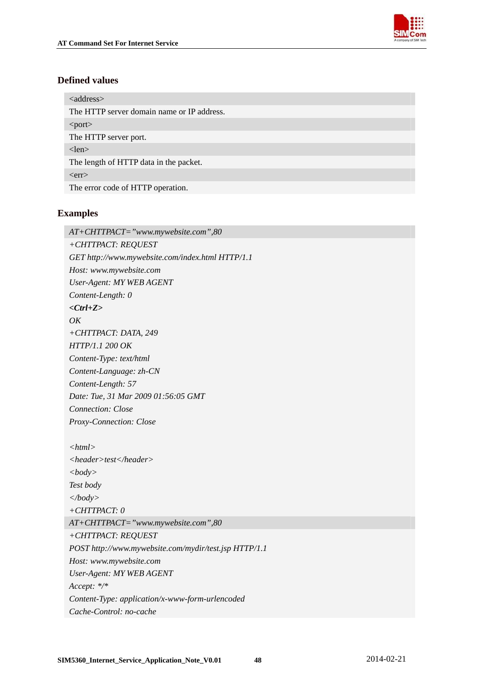

<span id="page-48-0"></span><address> The HTTP server domain name or IP address. <port> The HTTP server port. <len> The length of HTTP data in the packet.  $<$ err $>$ The error code of HTTP operation.

## **Examples**

*AT+CHTTPACT="www.mywebsite.com",80 +CHTTPACT: REQUEST GET [http://www.mywebsite.com/index.html HTTP/1.1](http://www.mywebsite.com/index.html%20HTTP/1.1)  Host: [www.mywebsite.com](http://www.mywebsite.com/)  User-Agent: MY WEB AGENT Content-Length: 0 <Ctrl+Z> OK +CHTTPACT: DATA, 249 HTTP/1.1 200 OK Content-Type: text/html Content-Language: zh-CN Content-Length: 57 Date: Tue, 31 Mar 2009 01:56:05 GMT Connection: Close Proxy-Connection: Close <html> <header>test</header> <body> Test body </body> +CHTTPACT: 0 AT+CHTTPACT="www.mywebsite.com",80 +CHTTPACT: REQUEST POST [http://www.mywebsite.com/mydir/test.jsp HTTP/1.1](http://www.mywebsite.com/mydir/test.jsp%20HTTP/1.1)  Host: [www.mywebsite.com](http://www.mywebsite.com/)  User-Agent: MY WEB AGENT Accept: \*/\* Content-Type: application/x-www-form-urlencoded Cache-Control: no-cache*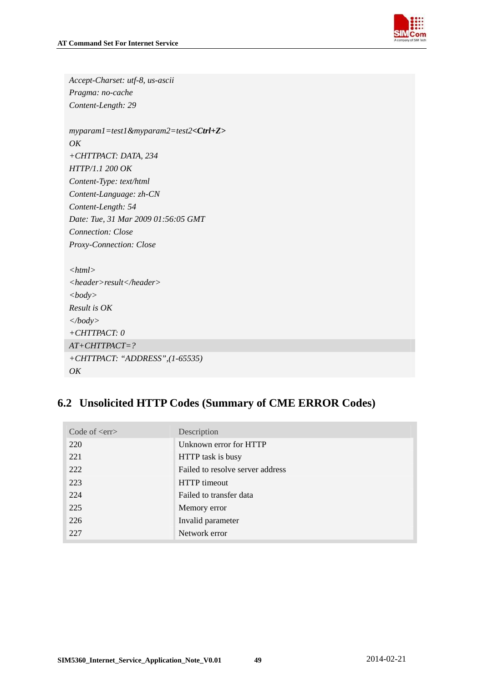

| Accept-Charset: utf-8, us-ascii                        |
|--------------------------------------------------------|
| Pragma: no-cache                                       |
| Content-Length: 29                                     |
|                                                        |
| $myparam1 = test1 \& myparam2 = test2 < Ctr1 + Z >$    |
| OK                                                     |
| +CHTTPACT: DATA, 234                                   |
| HTTP/1.1 200 OK                                        |
| Content-Type: text/html                                |
| Content-Language: zh-CN                                |
| Content-Length: 54                                     |
| Date: Tue, 31 Mar 2009 01:56:05 GMT                    |
| <b>Connection:</b> Close                               |
| Proxy-Connection: Close                                |
|                                                        |
| $<$ html $>$                                           |
| $\langle header \rangle result \langle header \rangle$ |
| <body></body>                                          |
| Result is OK                                           |
| $\langle \textit{body} \rangle$                        |
| $+CHTTPACT: 0$                                         |
| $AT+CHTTPACT=?$                                        |
| +CHTTPACT: "ADDRESS",(1-65535)                         |
| OK                                                     |

## **6.2 Unsolicited HTTP Codes (Summary of CME ERROR Codes)**

| Code of $\langle$ err $\rangle$ | Description                      |
|---------------------------------|----------------------------------|
| 220                             | Unknown error for HTTP           |
| 221                             | HTTP task is busy                |
| 222                             | Failed to resolve server address |
| 223                             | <b>HTTP</b> timeout              |
| 224                             | Failed to transfer data          |
| 225                             | Memory error                     |
| 226                             | Invalid parameter                |
| 227                             | Network error                    |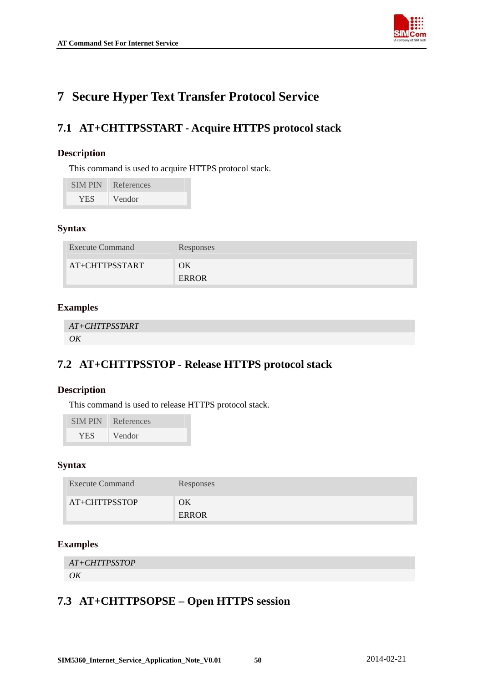

## <span id="page-50-0"></span>**7 Secure Hyper Text Transfer Protocol Service**

## **7.1 AT+CHTTPSSTART - Acquire HTTPS protocol stack**

## **Description**

This command is used to acquire HTTPS protocol stack.

| <b>SIMPIN</b> | References |
|---------------|------------|
| <b>YES</b>    | Vendor     |

## **Syntax**

| <b>Execute Command</b> | Responses   |
|------------------------|-------------|
| AT+CHTTPSSTART         | ОK<br>ERROR |

## **Examples**

```
AT+CHTTPSSTART 
OK
```
## **7.2 AT+CHTTPSSTOP - Release HTTPS protocol stack**

## **Description**

This command is used to release HTTPS protocol stack.

| <b>SIMPIN</b> | References |
|---------------|------------|
| <b>YES</b>    | Vendor     |

## **Syntax**

| <b>Execute Command</b> | Responses          |
|------------------------|--------------------|
| AT+CHTTPSSTOP          | ЭK<br><b>ERROR</b> |

## **Examples**

```
AT+CHTTPSSTOP 
OK
```
## **7.3 AT+CHTTPSOPSE – Open HTTPS session**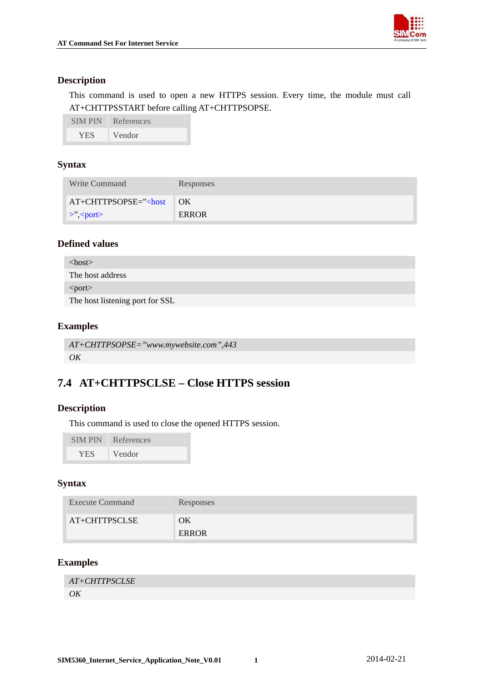

## <span id="page-51-0"></span>**Description**

This command is used to open a new HTTPS session. Every time, the module must call AT+CHTTPSSTART before calling AT+CHTTPSOPSE.

| <b>SIMPIN</b> | References |
|---------------|------------|
| <b>YES</b>    | Vendor     |

## **Syntax**

| Write Command          | Responses |
|------------------------|-----------|
| $AT+CHTTPSOPSE='>$ OK  |           |
| $\ge$ ", <port></port> | ERROR     |

## **Defined values**

| $<$ host $>$                    |  |
|---------------------------------|--|
| The host address                |  |
| $\leq$ port $>$                 |  |
| The host listening port for SSL |  |

## **Examples**

```
AT+CHTTPSOPSE="www.mywebsite.com",443 
OK
```
## **7.4 AT+CHTTPSCLSE – Close HTTPS session**

## **Description**

This command is used to close the opened HTTPS session.

| <b>SIMPIN</b> | References |
|---------------|------------|
| <b>YES</b>    | Vendor     |

## **Syntax**

| <b>Execute Command</b> | Responses   |
|------------------------|-------------|
| AT+CHTTPSCLSE          | ОK<br>ERROR |

## **Examples**

| AT+CHTTPSCLSE |  |
|---------------|--|
| OK            |  |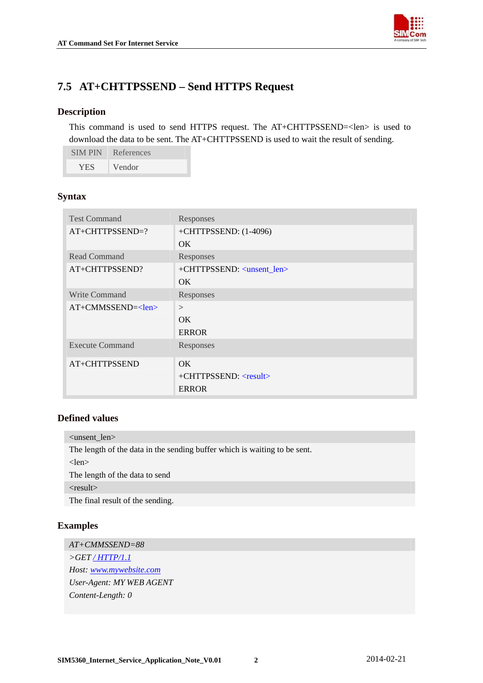

## <span id="page-52-0"></span>**7.5 AT+CHTTPSSEND – Send HTTPS Request**

### **Description**

This command is used to send HTTPS request. The AT+CHTTPSSEND=<len> is used to download the data to be sent. The AT+CHTTPSSEND is used to wait the result of sending.

| <b>SIMPIN</b> | References |
|---------------|------------|
| <b>YES</b>    | Vendor     |

## **Syntax**

| <b>Test Command</b>    | Responses                              |
|------------------------|----------------------------------------|
| AT+CHTTPSSEND=?        | +CHTTPSSEND: (1-4096)                  |
|                        | OK.                                    |
| <b>Read Command</b>    | Responses                              |
| AT+CHTTPSSEND?         | +CHTTPSSEND: <unsent_len></unsent_len> |
|                        | OK.                                    |
| <b>Write Command</b>   | Responses                              |
| $AT+CMMSSEND=<1en>$    | $\geq$                                 |
|                        | OK                                     |
|                        | <b>ERROR</b>                           |
| <b>Execute Command</b> | Responses                              |
| AT+CHTTPSSEND          | OK.                                    |
|                        | $+CHTTPSSEND: <$ result>               |
|                        | <b>ERROR</b>                           |

## **Defined values**

<unsent\_len> The length of the data in the sending buffer which is waiting to be sent. <len> The length of the data to send  $<$ result $>$ 

The final result of the sending.

## **Examples**

*AT+CMMSSEND=88 >GET [/ HTTP/1.1](http://www.mywebsite.com/index.html%20HTTP/1.1) Host: [www.mywebsite.com](http://www.mywebsite.com/) User-Agent: MY WEB AGENT Content-Length: 0*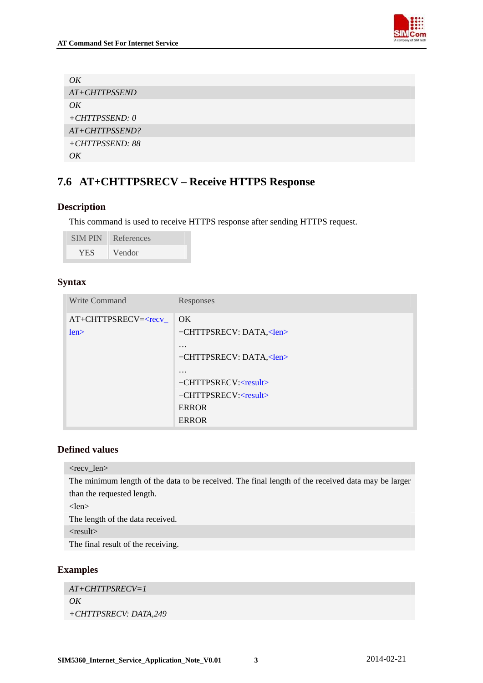

<span id="page-53-0"></span>

| OK               |
|------------------|
| AT+CHTTPSSEND    |
| OK               |
| $+CHTTPSSEND: 0$ |
| AT+CHTTPSSEND?   |
| +CHTTPSSEND: 88  |
| OK               |

## **7.6 AT+CHTTPSRECV – Receive HTTPS Response**

## **Description**

This command is used to receive HTTPS response after sending HTTPS request.

| <b>SIM PIN</b> | References |
|----------------|------------|
| YES            | Vendor     |

## **Syntax**

| Write Command                                     | Responses                      |
|---------------------------------------------------|--------------------------------|
| AT+CHTTPSRECV= <recv_< td=""><td>OK</td></recv_<> | OK                             |
| len                                               | +CHTTPSRECV: DATA, <len></len> |
|                                                   | $\cdot$                        |
|                                                   | +CHTTPSRECV: DATA, <len></len> |
|                                                   | $\cdot$                        |
|                                                   | $+CHTTPSRECV:$                 |
|                                                   | +CHTTPSRECV: <result></result> |
|                                                   | <b>ERROR</b>                   |
|                                                   | <b>ERROR</b>                   |

## **Defined values**

```
<recv_len>
```
The minimum length of the data to be received. The final length of the received data may be larger than the requested length.

<len>

The length of the data received.

<result>

The final result of the receiving.

## **Examples**

*AT+CHTTPSRECV=1*   $OK$ *+CHTTPSRECV: DATA,249*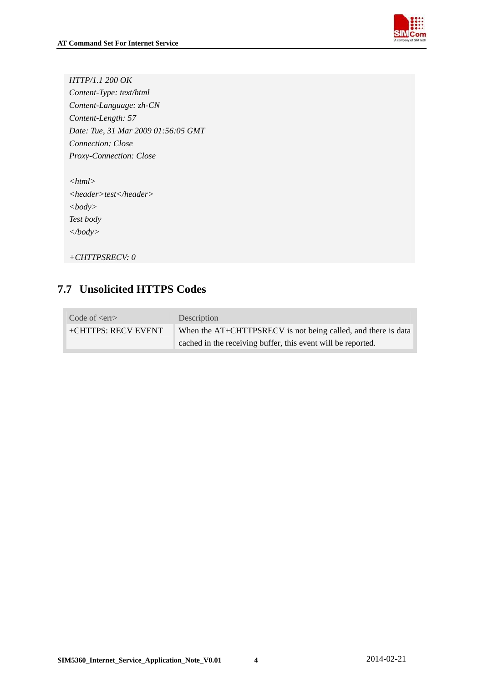

<span id="page-54-0"></span>*HTTP/1.1 200 OK Content-Type: text/html Content-Language: zh-CN Content-Length: 57 Date: Tue, 31 Mar 2009 01:56:05 GMT Connection: Close Proxy-Connection: Close* 

| $<$ html $>$                                         |
|------------------------------------------------------|
| $\langle header \rangle test \langle header \rangle$ |
| $<$ body $>$                                         |
| Test body                                            |
| $\langle$ body>                                      |
|                                                      |

```
+CHTTPSRECV: 0
```
## **7.7 Unsolicited HTTPS Codes**

| Code of $\langle$ err $\rangle$ | Description                                                   |
|---------------------------------|---------------------------------------------------------------|
| +CHTTPS: RECV EVENT             | When the AT+CHTTPSRECV is not being called, and there is data |
|                                 | cached in the receiving buffer, this event will be reported.  |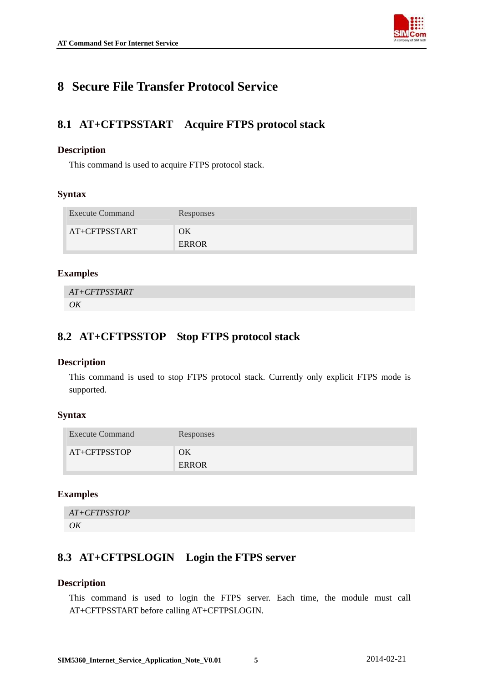

## <span id="page-55-0"></span>**8 Secure File Transfer Protocol Service**

## **8.1 AT+CFTPSSTART Acquire FTPS protocol stack**

## **Description**

This command is used to acquire FTPS protocol stack.

## **Syntax**

| <b>Execute Command</b> | Responses   |
|------------------------|-------------|
| AT+CFTPSSTART          | ΟK<br>ERROR |

## **Examples**

*AT+CFTPSSTART OK*

## **8.2 AT+CFTPSSTOP Stop FTPS protocol stack**

## **Description**

This command is used to stop FTPS protocol stack. Currently only explicit FTPS mode is supported.

## **Syntax**

| <b>Execute Command</b> | Responses   |
|------------------------|-------------|
| AT+CFTPSSTOP           | ЭK<br>ERROR |

## **Examples**

```
AT+CFTPSSTOP 
OK
```
## **8.3 AT+CFTPSLOGIN Login the FTPS server**

## **Description**

This command is used to login the FTPS server. Each time, the module must call AT+CFTPSSTART before calling AT+CFTPSLOGIN.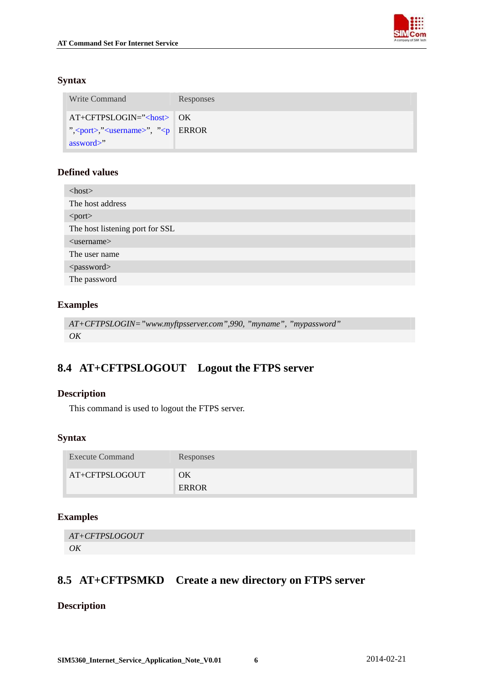

## <span id="page-56-0"></span>**Syntax**

| Write Command                                                                     | Responses |
|-----------------------------------------------------------------------------------|-----------|
| $AT+CFTPSLOGIN='const$ OK                                                         |           |
| ", <port>, "<username>", "<p error<="" td=""  =""><td></td></p></username></port> |           |
| assword>"                                                                         |           |

## **Defined values**

| $<$ host $>$                    |
|---------------------------------|
| The host address                |
| <port></port>                   |
| The host listening port for SSL |
| $\langle$ username $\rangle$    |
| The user name                   |
| <password></password>           |
| The password                    |

## **Examples**

```
AT+CFTPSLOGIN="www.myftpsserver.com",990, "myname", "mypassword" 
OK
```
## **8.4 AT+CFTPSLOGOUT Logout the FTPS server**

## **Description**

This command is used to logout the FTPS server.

## **Syntax**

| <b>Execute Command</b> | Responses   |
|------------------------|-------------|
| AT+CFTPSLOGOUT         | ОK<br>ERROR |

## **Examples**

```
AT+CFTPSLOGOUT 
OK
```
## **8.5 AT+CFTPSMKD Create a new directory on FTPS server**

## **Description**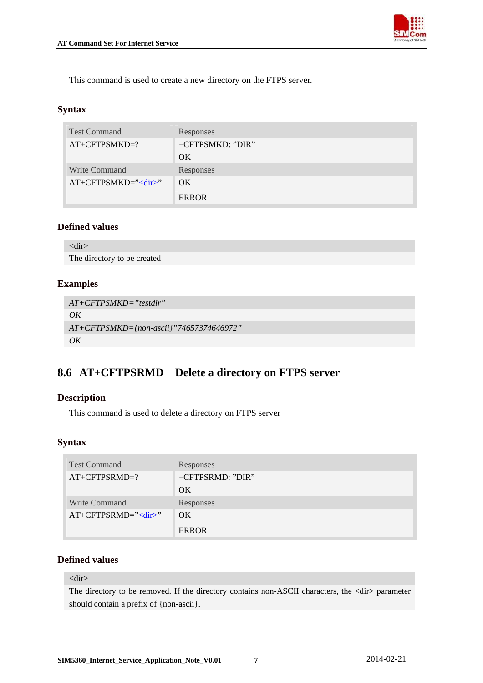

<span id="page-57-0"></span>This command is used to create a new directory on the FTPS server.

### **Syntax**

| <b>Test Command</b>  | Responses        |
|----------------------|------------------|
| $AT+CFTPSMKD=?$      | +CFTPSMKD: "DIR" |
|                      | OK               |
| <b>Write Command</b> | Responses        |
| $AT+CFTPSMKD="$      | OK.              |
|                      | <b>ERROR</b>     |

## **Defined values**

```
<dir>
```
The directory to be created

## **Examples**

```
AT+CFTPSMKD="testdir" 
OK
AT+CFTPSMKD={non-ascii}"74657374646972" 
OK
```
## **8.6 AT+CFTPSRMD Delete a directory on FTPS server**

## **Description**

This command is used to delete a directory on FTPS server

## **Syntax**

| <b>Test Command</b>        | Responses        |
|----------------------------|------------------|
| $AT+CFTPSRMD=?$            | +CFTPSRMD: "DIR" |
|                            | OK.              |
| Write Command              | Responses        |
| AT+CFTPSRMD=" <dir>"</dir> | OK.              |
|                            | <b>ERROR</b>     |

### **Defined values**

#### <dir>

The directory to be removed. If the directory contains non-ASCII characters, the <dir> parameter should contain a prefix of {non-ascii}.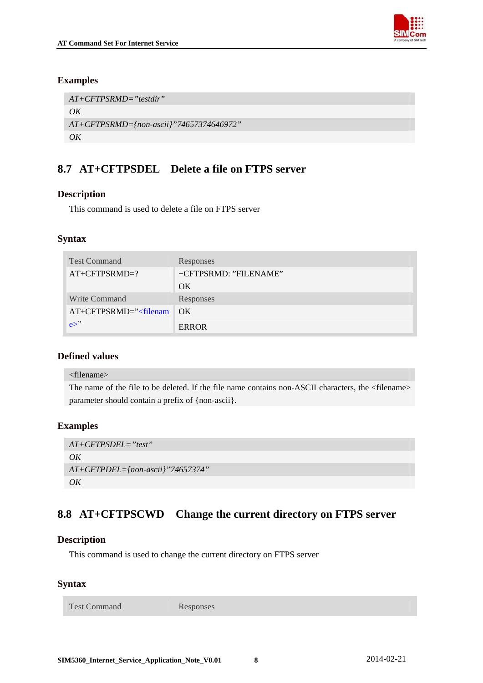

## <span id="page-58-0"></span>**Examples**

```
AT+CFTPSRMD="testdir" 
OK
AT+CFTPSRMD={non-ascii}"74657374646972" 
OK
```
## **8.7 AT+CFTPSDEL Delete a file on FTPS server**

## **Description**

This command is used to delete a file on FTPS server

## **Syntax**

| <b>Test Command</b>     | Responses             |
|-------------------------|-----------------------|
| $AT+CFTPSRMD=?$         | +CFTPSRMD: "FILENAME" |
|                         | OK.                   |
| <b>Write Command</b>    | Responses             |
| $AT+CFTPSRMD=' filenam$ | OK                    |
| $e^{\gamma}$            | <b>ERROR</b>          |

## **Defined values**

#### <filename>

The name of the file to be deleted. If the file name contains non-ASCII characters, the <filename> parameter should contain a prefix of {non-ascii}.

## **Examples**

```
AT+CFTPSDEL="test" 
OK
AT+CFTPDEL={non-ascii}"74657374" 
OK
```
## **8.8 AT+CFTPSCWD Change the current directory on FTPS server**

## **Description**

This command is used to change the current directory on FTPS server

## **Syntax**

Test Command Responses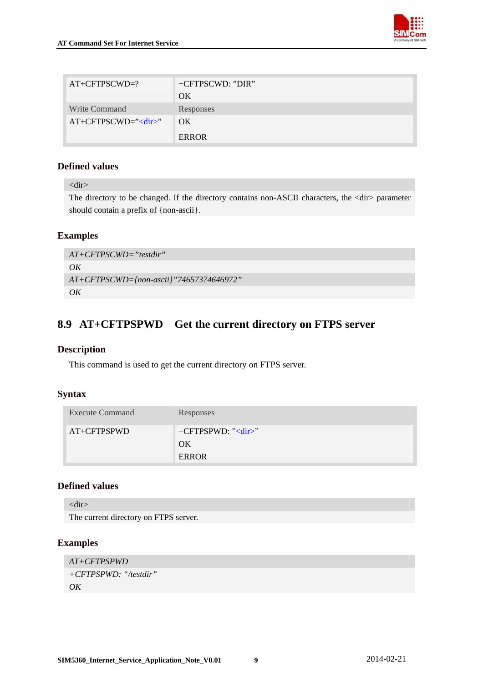

<span id="page-59-0"></span>

| $AT+CFTPSCWD=?$  | +CFTPSCWD: "DIR" |
|------------------|------------------|
|                  | OK               |
| Write Command    | Responses        |
| $AT+CFTPSCWD="'$ | OK.              |
|                  | <b>ERROR</b>     |

<dir>

The directory to be changed. If the directory contains non-ASCII characters, the <dir> parameter should contain a prefix of {non-ascii}.

## **Examples**

*AT+CFTPSCWD="testdir" OK AT+CFTPSCWD={non-ascii}"74657374646972" OK* 

## **8.9 AT+CFTPSPWD Get the current directory on FTPS server**

## **Description**

This command is used to get the current directory on FTPS server.

## **Syntax**

| <b>Execute Command</b> | Responses                                    |
|------------------------|----------------------------------------------|
| $AT+CFTPSPWD$          | $+CFTPSPWD:$ " <dir>"<br/>OK<br/>ERROR</dir> |

## **Defined values**

<dir>

The current directory on FTPS server.

## **Examples**

```
AT+CFTPSPWD 
+CFTPSPWD: "/testdir" 
OK
```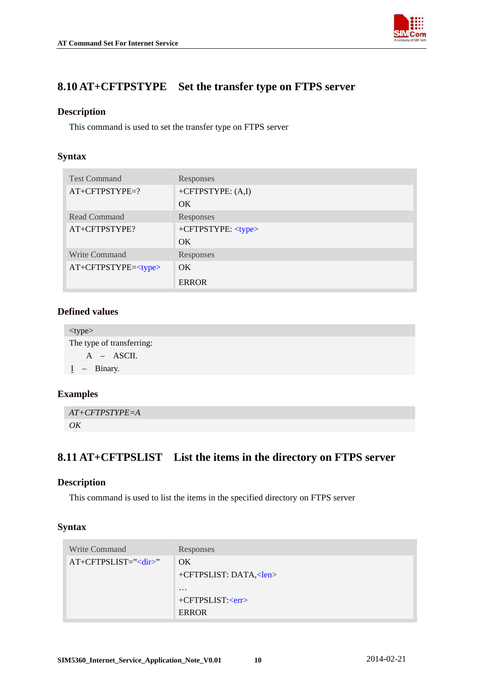<span id="page-60-0"></span>



## **8.10 AT+CFTPSTYPE Set the transfer type on FTPS server**

## **Description**

This command is used to set the transfer type on FTPS server

## **Syntax**

| <b>Test Command</b>      | Responses                 |
|--------------------------|---------------------------|
| $AT+CFTPSTYPE=?$         | +CFTPSTYPE: $(A,I)$       |
|                          | OK                        |
| Read Command             | Responses                 |
| AT+CFTPSTYPE?            | +CFTPSTYPE: <type></type> |
|                          | OK                        |
| <b>Write Command</b>     | Responses                 |
| $AT+CFTPSTYPE=\lt{type}$ | OK                        |
|                          | <b>ERROR</b>              |

## **Defined values**

<type> The type of transferring: A – ASCII. I – Binary.

## **Examples**

*AT+CFTPSTYPE=A OK*

## **8.11 AT+CFTPSLIST List the items in the directory on FTPS server**

## **Description**

This command is used to list the items in the specified directory on FTPS server

| Write Command     | Responses                                                     |
|-------------------|---------------------------------------------------------------|
| $AT+CFTPSLIST=''$ | OK.<br>+CFTPSLIST: DATA, <len></len>                          |
|                   | $\cdot\cdot\cdot$<br>+CFTPSLIST: <err><br/><b>ERROR</b></err> |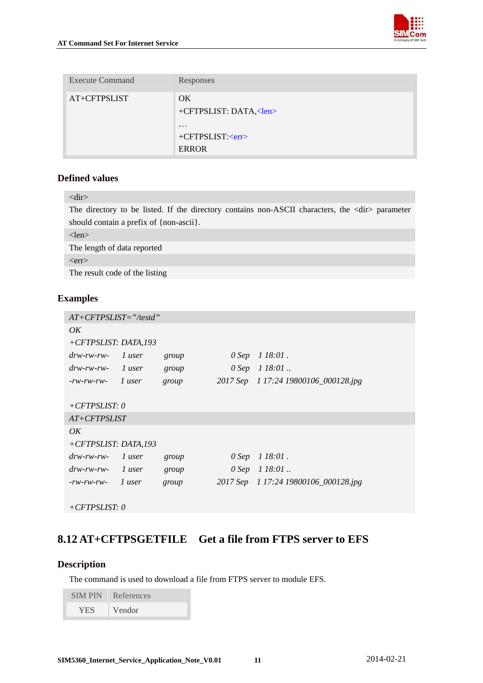

<span id="page-61-0"></span>

| <b>Execute Command</b> | Responses                                           |
|------------------------|-----------------------------------------------------|
| AT+CFTPSLIST           | OK.<br>+CFTPSLIST: DATA, <len></len>                |
|                        | $\cdot\cdot\cdot$<br>$+CFTPSLIST: $<br><b>ERROR</b> |

| $\langle$ dir $\rangle$                                                                               |
|-------------------------------------------------------------------------------------------------------|
| The directory to be listed. If the directory contains non-ASCII characters, the <dir> parameter</dir> |
| should contain a prefix of $\{non-ascii\}$ .                                                          |
| $<$ len $>$                                                                                           |
| The length of data reported                                                                           |
| $<$ err $>$                                                                                           |
| The result code of the listing                                                                        |
|                                                                                                       |

## **Examples**

| $AT+CFTPSLIST = "testd"$ |        |       |         |                                      |
|--------------------------|--------|-------|---------|--------------------------------------|
| OK                       |        |       |         |                                      |
| +CFTPSLIST: DATA,193     |        |       |         |                                      |
| $drw$ -rw-rw-            | 1 user | group | $0$ Sep | $118:01$ .                           |
| $drw$ -rw-rw-            | 1 user | group |         | $0$ Sep $1$ 18:01                    |
| $-rw$ - $rw$ - $rw$ -    | 1 user | group |         | 2017 Sep 1 17:24 19800106_000128.jpg |
|                          |        |       |         |                                      |
| $+CFTPSLIST: 0$          |        |       |         |                                      |
| $AT+CFTPSLIST$           |        |       |         |                                      |
| OK                       |        |       |         |                                      |
| $+CFTPSLIST: DATA, 193$  |        |       |         |                                      |
| $drw$ -rw-rw-            | 1 user | group | 0 Sep   | $118:01$ .                           |
| $drw$ -rw-rw-            | 1 user | group |         | $0$ Sep $1$ 18:01.                   |
| $-rw$ - $rw$ - $rw$ -    | 1 user | group |         | 2017 Sep 1 17:24 19800106_000128.jpg |
|                          |        |       |         |                                      |
| $+CFTPSLIST: 0$          |        |       |         |                                      |

## **8.12 AT+CFTPSGETFILE Get a file from FTPS server to EFS**

## **Description**

The command is used to download a file from FTPS server to module EFS.

| <b>SIMPIN</b> | References |
|---------------|------------|
| <b>YES</b>    | Vendor     |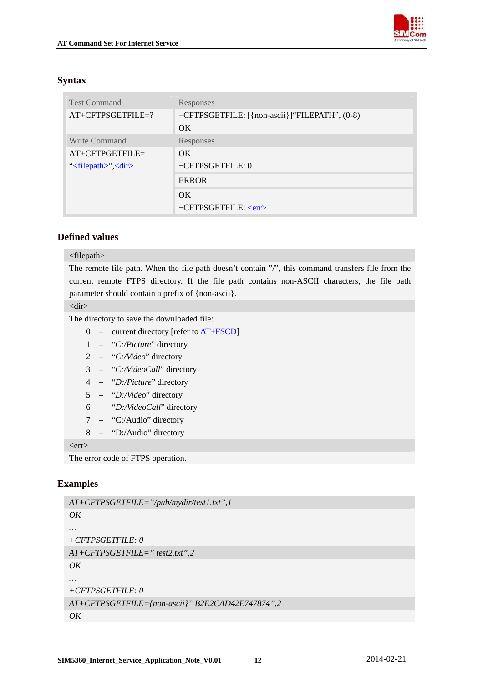

## <span id="page-62-0"></span>**Syntax**

| <b>Test Command</b>                    | Responses                                     |
|----------------------------------------|-----------------------------------------------|
| $AT+CFTPSGETFILE=?$                    | +CFTPSGETFILE: [{non-ascii}]"FILEPATH", (0-8) |
|                                        | OK.                                           |
| Write Command                          | Responses                                     |
| $AT+CFTPGETFILE=$                      | $\overline{\text{OK}}$                        |
| " $\langle$ filepath>", $\langle$ dir> | +CFTPSGETFILE: 0                              |
|                                        | <b>ERROR</b>                                  |
|                                        | OK.                                           |
|                                        | $+CFTPSGETFILE: $                             |

## **Defined values**

#### <filepath>

The remote file path. When the file path doesn't contain "/", this command transfers file from the current remote FTPS directory. If the file path contains non-ASCII characters, the file path parameter should contain a prefix of {non-ascii}.

<dir>

The directory to save the downloaded file:

- 0 current directory [refer to AT+FSCD]
- 1 "*C:/Picture*" directory
- 2 "*C:/Video*" directory
- 3 "*C:/VideoCall*" directory
- 4 "*D:/Picture*" directory
- 5 "*D:/Video*" directory
- 6 "*D:/VideoCall*" directory
- 7 "C:/Audio" directory
- 8 "D:/Audio" directory

 $<$ err $>$ 

The error code of FTPS operation.

#### **Examples**

```
AT+CFTPSGETFILE="/pub/mydir/test1.txt",1 
OK 
… 
+CFTPSGETFILE: 0 
AT+CFTPSGETFILE=" test2.txt",2 
OK 
… 
+CFTPSGETFILE: 0 
AT+CFTPSGETFILE={non-ascii}" B2E2CAD42E747874",2 
OK
```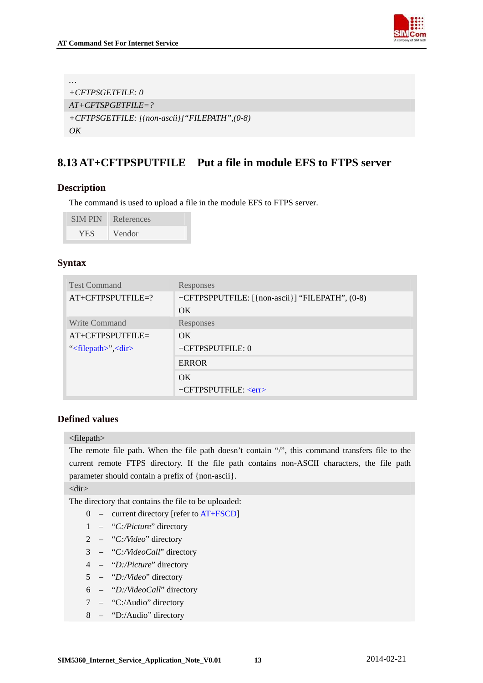

```
… 
+CFTPSGETFILE: 0 
AT+CFTSPGETFILE=? 
+CFTPSGETFILE: [{non-ascii}]"FILEPATH",(0-8) 
OK
```
## **8.13 AT+CFTPSPUTFILE Put a file in module EFS to FTPS server**

## **Description**

The command is used to upload a file in the module EFS to FTPS server.

| <b>SIMPIN</b> | References          |
|---------------|---------------------|
| YES.          | Vendor <sup>1</sup> |

### **Syntax**

| <b>Test Command</b>                    | Responses                                       |
|----------------------------------------|-------------------------------------------------|
| $AT+CFTPSPUTFILE=?$                    | +CFTPSPPUTFILE: [{non-ascii}] "FILEPATH", (0-8) |
|                                        | OK.                                             |
| Write Command                          | <b>Responses</b>                                |
| $AT+CFTPSPUTFILE=$                     | $\overline{\text{OK}}$                          |
| " $\langle$ filepath>", $\langle$ dir> | +CFTPSPUTFILE: 0                                |
|                                        | <b>ERROR</b>                                    |
|                                        | $\alpha$                                        |
|                                        | $+CFTPSPUTFILE: \langle err \rangle$            |

#### **Defined values**

<filepath>

The remote file path. When the file path doesn't contain "/", this command transfers file to the current remote FTPS directory. If the file path contains non-ASCII characters, the file path parameter should contain a prefix of {non-ascii}.

<dir>

The directory that contains the file to be uploaded:

- 0 current directory [refer to AT+FSCD]
- 1 "*C:/Picture*" directory
- 2 "*C:/Video*" directory
- 3 "*C:/VideoCall*" directory
- 4 "*D:/Picture*" directory
- 5 "*D:/Video*" directory
- 6 "*D:/VideoCall*" directory
- 7 "C:/Audio" directory
- 8 "D:/Audio" directory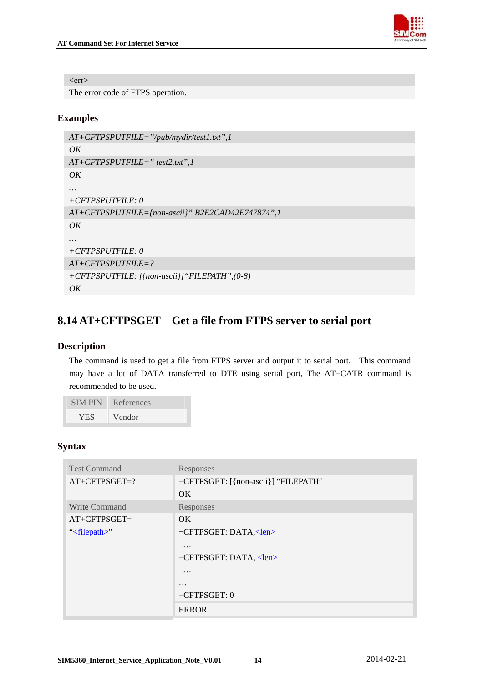

<span id="page-64-0"></span> $<$ err $>$ 

The error code of FTPS operation.

## **Examples**

```
AT+CFTPSPUTFILE="/pub/mydir/test1.txt",1 
OK 
AT+CFTPSPUTFILE=" test2.txt",1 
OK… 
+CFTPSPUTFILE: 0 
AT+CFTPSPUTFILE={non-ascii}" B2E2CAD42E747874",1 
OK 
… 
+CFTPSPUTFILE: 0 
AT+CFTPSPUTFILE=? 
+CFTPSPUTFILE: [{non-ascii}]"FILEPATH",(0-8) 
OK
```
## **8.14 AT+CFTPSGET Get a file from FTPS server to serial port**

## **Description**

The command is used to get a file from FTPS server and output it to serial port. This command may have a lot of DATA transferred to DTE using serial port, The AT+CATR command is recommended to be used.

| <b>SIMPIN</b> | References |
|---------------|------------|
| <b>YES</b>    | Vendor     |

| <b>Test Command</b>    | Responses                           |
|------------------------|-------------------------------------|
| $AT+CFTPSGET=?$        | +CFTPSGET: [{non-ascii}] "FILEPATH" |
|                        | OK                                  |
| Write Command          | Responses                           |
| $AT+CFTPSGET=$         | OK.                                 |
| " $\langle$ filepath>" | +CFTPSGET: DATA, <len></len>        |
|                        | $\cdots$                            |
|                        | +CFTPSGET: DATA, <len></len>        |
|                        | $\cdots$                            |
|                        | $\cdots$                            |
|                        | $+CFTPSGET: 0$                      |
|                        | <b>ERROR</b>                        |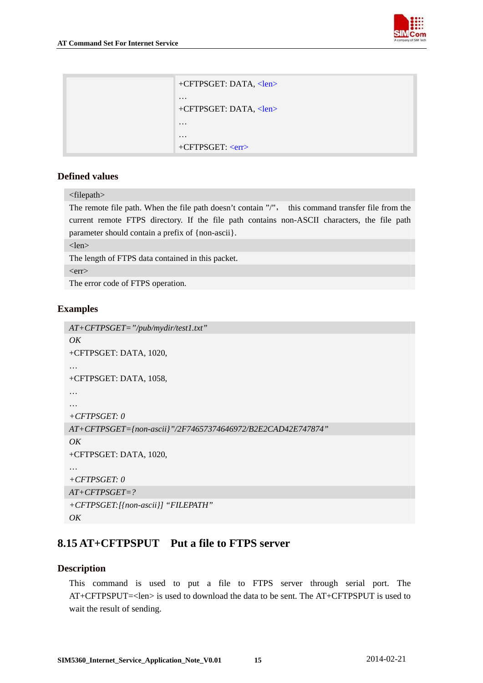

<span id="page-65-0"></span>

| +CFTPSGET: DATA, <len></len> |
|------------------------------|
| +CFTPSGET: DATA, <len></len> |
|                              |
|                              |
| $+CFTPSGET: $                |

<filepath> The remote file path. When the file path doesn't contain "/", this command transfer file from the current remote FTPS directory. If the file path contains non-ASCII characters, the file path parameter should contain a prefix of {non-ascii}.

<len>

The length of FTPS data contained in this packet.

 $<$ err $>$ 

The error code of FTPS operation.

## **Examples**

```
AT+CFTPSGET="/pub/mydir/test1.txt" 
OK+CFTPSGET: DATA, 1020, 
… 
+CFTPSGET: DATA, 1058, 
… 
… 
+CFTPSGET: 0 
AT+CFTPSGET={non-ascii}"/2F74657374646972/B2E2CAD42E747874" 
OK 
+CFTPSGET: DATA, 1020, 
… 
+CFTPSGET: 0 
AT+CFTPSGET=? 
+CFTPSGET:[{non-ascii}] "FILEPATH" 
OK
```
## **8.15 AT+CFTPSPUT Put a file to FTPS server**

## **Description**

This command is used to put a file to FTPS server through serial port. The AT+CFTPSPUT=<len> is used to download the data to be sent. The AT+CFTPSPUT is used to wait the result of sending.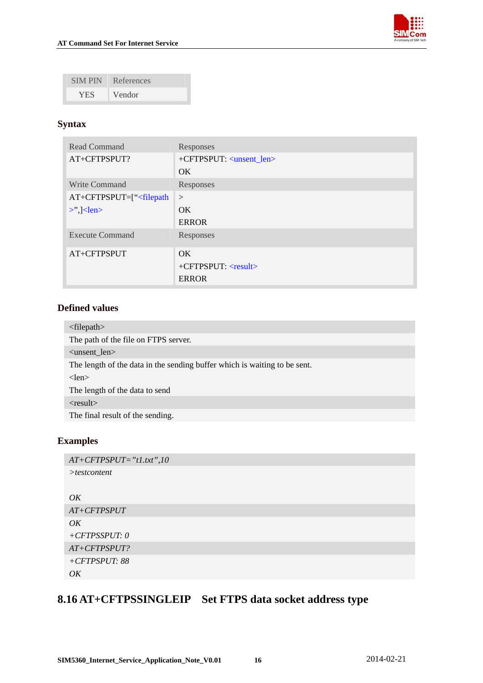

<span id="page-66-0"></span>

| <b>SIM PIN</b> | References |
|----------------|------------|
| <b>YES</b>     | Vendor     |

## **Syntax**

| Read Command                    | Responses                            |
|---------------------------------|--------------------------------------|
| AT+CFTPSPUT?                    | +CFTPSPUT: <unsent_len></unsent_len> |
|                                 | OK.                                  |
| Write Command                   | Responses                            |
| $AT+CFTPSPUT=[``filepath]$      | $\geq$                               |
| $\geq$ $\geq$ $\leq$ len $\geq$ | OK.                                  |
|                                 | <b>ERROR</b>                         |
| <b>Execute Command</b>          | Responses                            |
| AT+CFTPSPUT                     | OK.                                  |
|                                 | +CFTPSPUT: <result></result>         |
|                                 | <b>ERROR</b>                         |

## **Defined values**

| $\langle$ filepath $\rangle$                                              |
|---------------------------------------------------------------------------|
| The path of the file on FTPS server.                                      |
| $\alpha$ <unsent len<math="">&gt;</unsent>                                |
| The length of the data in the sending buffer which is waiting to be sent. |
| $<$ len $>$                                                               |
| The length of the data to send                                            |
| $<$ result $>$                                                            |
|                                                                           |
| The final result of the sending.                                          |

## **Examples**

```
AT+CFTPSPUT="t1.txt",10 
>testcontent
```
## *OK*

```
AT+CFTPSPUT 
OK 
+CFTPSSPUT: 0
AT+CFTPSPUT? 
+CFTPSPUT: 88 
OK
```
## **8.16 AT+CFTPSSINGLEIP Set FTPS data socket address type**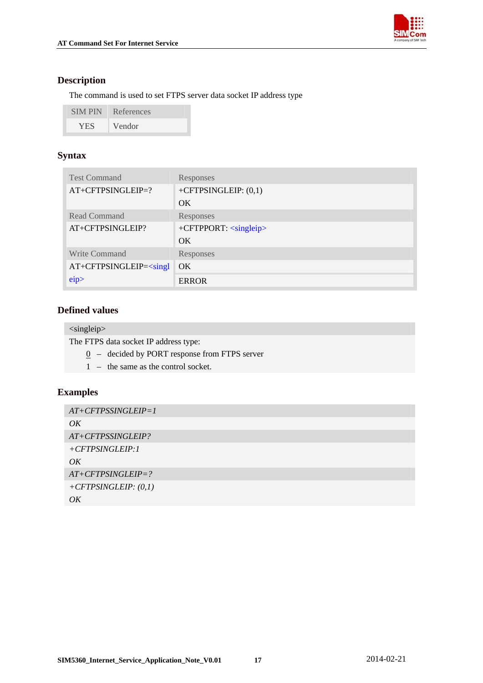

## **Description**

The command is used to set FTPS server data socket IP address type

| <b>SIM PIN</b> | References |
|----------------|------------|
| YES.           | Vendor     |

## **Syntax**

| <b>Test Command</b>        | Responses                        |
|----------------------------|----------------------------------|
| $AT+CFTPSINGLEIP=?$        | +CFTPSINGLEIP: $(0,1)$           |
|                            | OK.                              |
| <b>Read Command</b>        | Responses                        |
| AT+CFTPSINGLEIP?           | +CFTPPORT: <singleip></singleip> |
|                            | OK.                              |
| <b>Write Command</b>       | Responses                        |
| $AT+CFTPSINGLEIP=<{sing1}$ | OK.                              |
| eip                        | <b>ERROR</b>                     |

## **Defined values**

<singleip>

The FTPS data socket IP address type:

- $0 -$  decided by PORT response from FTPS server
- 1 the same as the control socket.

## **Examples**

| $AT+CFTPSSINGLEIP=1$   |
|------------------------|
| OK                     |
| AT+CFTPSSINGLEIP?      |
| $+CFTPSINGLEIP:1$      |
| OK                     |
| $AT+CFTPSINGLEIP = ?$  |
| $+CFTPSINGLEIP: (0,1)$ |
| OK                     |
|                        |